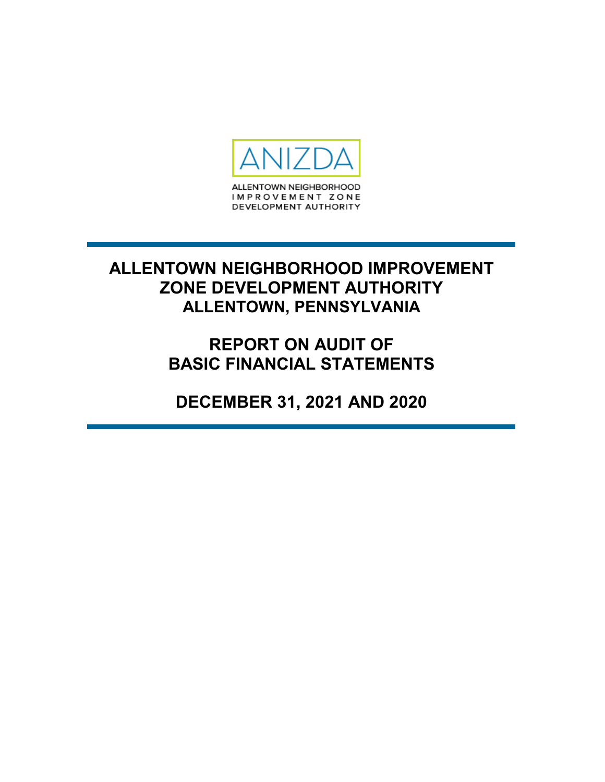

# **ALLENTOWN, PENNSYLVANIA ALLENTOWN NEIGHBORHOOD IMPROVEMENT ZONE DEVELOPMENT AUTHORITY**

# **BASIC FINANCIAL STATEMENTS REPORT ON AUDIT OF**

**DECEMBER 31, 2021 AND 2020**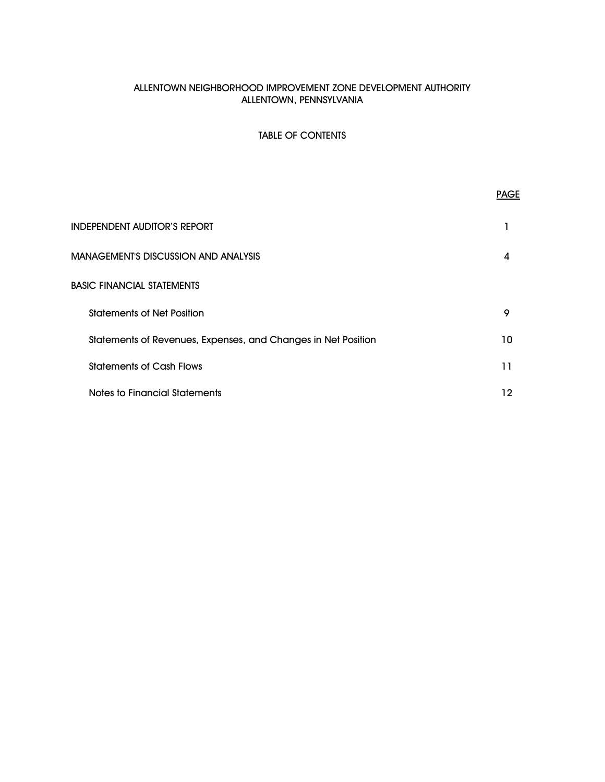# ALLENTOWN NEIGHBORHOOD IMPROVEMENT ZONE DEVELOPMENT AUTHORITY ALLENTOWN, PENNSYLVANIA

# TABLE OF CONTENTS

**PAGE** 

| INDEPENDENT AUDITOR'S REPORT                                  |    |
|---------------------------------------------------------------|----|
| MANAGEMENT'S DISCUSSION AND ANALYSIS                          | 4  |
| BASIC FINANCIAL STATEMENTS                                    |    |
| <b>Statements of Net Position</b>                             | 9  |
| Statements of Revenues, Expenses, and Changes in Net Position | 10 |
| <b>Statements of Cash Flows</b>                               | 11 |
| Notes to Financial Statements                                 | 12 |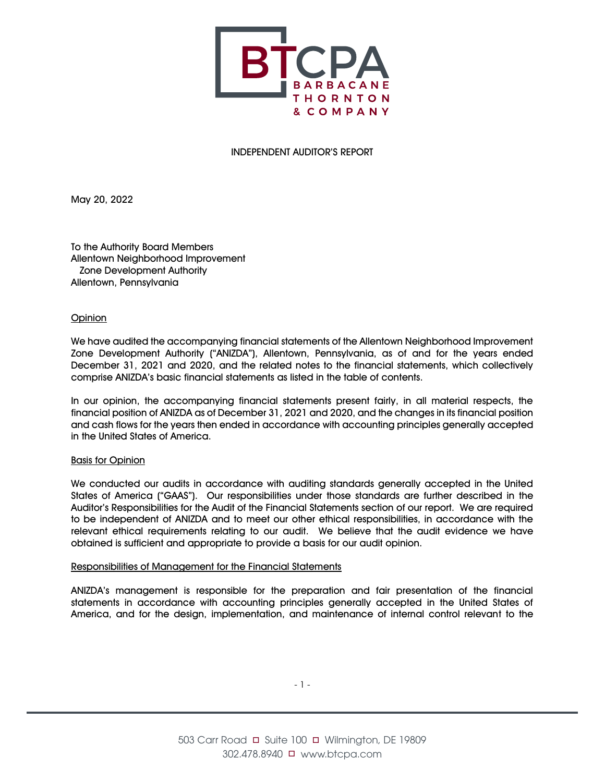

## INDEPENDENT AUDITOR'S REPORT

May 20, 2022

To the Authority Board Members Allentown Neighborhood Improvement Zone Development Authority Allentown, Pennsylvania

#### **Opinion**

We have audited the accompanying financial statements of the Allentown Neighborhood Improvement Zone Development Authority ("ANIZDA"), Allentown, Pennsylvania, as of and for the years ended December 31, 2021 and 2020, and the related notes to the financial statements, which collectively comprise ANIZDA's basic financial statements as listed in the table of contents.

In our opinion, the accompanying financial statements present fairly, in all material respects, the financial position of ANIZDA as of December 31, 2021 and 2020, and the changes in its financial position and cash flows for the years then ended in accordance with accounting principles generally accepted in the United States of America.

## Basis for Opinion

We conducted our audits in accordance with auditing standards generally accepted in the United States of America ("GAAS"). Our responsibilities under those standards are further described in the Auditor's Responsibilities for the Audit of the Financial Statements section of our report. We are required to be independent of ANIZDA and to meet our other ethical responsibilities, in accordance with the relevant ethical requirements relating to our audit. We believe that the audit evidence we have obtained is sufficient and appropriate to provide a basis for our audit opinion.

## Responsibilities of Management for the Financial Statements

ANIZDA's management is responsible for the preparation and fair presentation of the financial statements in accordance with accounting principles generally accepted in the United States of America, and for the design, implementation, and maintenance of internal control relevant to the

- 1 -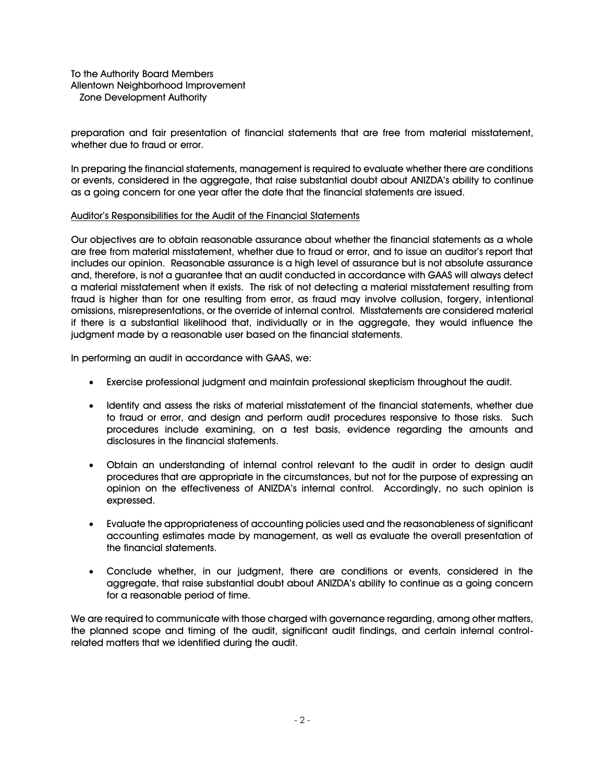To the Authority Board Members Allentown Neighborhood Improvement Zone Development Authority

preparation and fair presentation of financial statements that are free from material misstatement, whether due to fraud or error.

In preparing the financial statements, management is required to evaluate whether there are conditions or events, considered in the aggregate, that raise substantial doubt about ANIZDA's ability to continue as a going concern for one year after the date that the financial statements are issued.

#### Auditor's Responsibilities for the Audit of the Financial Statements

Our objectives are to obtain reasonable assurance about whether the financial statements as a whole are free from material misstatement, whether due to fraud or error, and to issue an auditor's report that includes our opinion. Reasonable assurance is a high level of assurance but is not absolute assurance and, therefore, is not a guarantee that an audit conducted in accordance with GAAS will always detect a material misstatement when it exists. The risk of not detecting a material misstatement resulting from fraud is higher than for one resulting from error, as fraud may involve collusion, forgery, intentional omissions, misrepresentations, or the override of internal control. Misstatements are considered material if there is a substantial likelihood that, individually or in the aggregate, they would influence the judgment made by a reasonable user based on the financial statements.

In performing an audit in accordance with GAAS, we:

- Exercise professional judgment and maintain professional skepticism throughout the audit.
- Identify and assess the risks of material misstatement of the financial statements, whether due to fraud or error, and design and perform audit procedures responsive to those risks. Such procedures include examining, on a test basis, evidence regarding the amounts and disclosures in the financial statements.
- Obtain an understanding of internal control relevant to the audit in order to design audit procedures that are appropriate in the circumstances, but not for the purpose of expressing an opinion on the effectiveness of ANIZDA's internal control. Accordingly, no such opinion is expressed.
- Evaluate the appropriateness of accounting policies used and the reasonableness of significant accounting estimates made by management, as well as evaluate the overall presentation of the financial statements.
- Conclude whether, in our judgment, there are conditions or events, considered in the aggregate, that raise substantial doubt about ANIZDA's ability to continue as a going concern for a reasonable period of time.

We are required to communicate with those charged with governance regarding, among other matters, the planned scope and timing of the audit, significant audit findings, and certain internal controlrelated matters that we identified during the audit.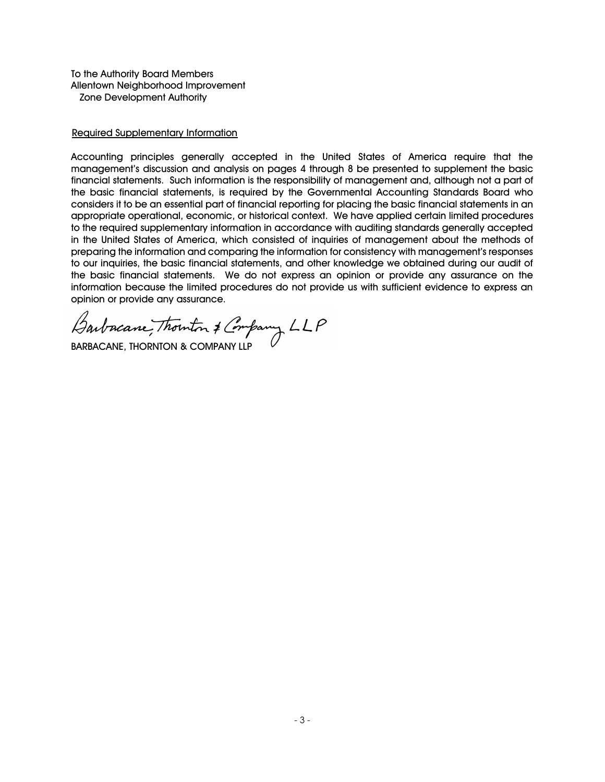To the Authority Board Members Allentown Neighborhood Improvement Zone Development Authority

#### Required Supplementary Information

Accounting principles generally accepted in the United States of America require that the management's discussion and analysis on pages 4 through 8 be presented to supplement the basic financial statements. Such information is the responsibility of management and, although not a part of the basic financial statements, is required by the Governmental Accounting Standards Board who considers it to be an essential part of financial reporting for placing the basic financial statements in an appropriate operational, economic, or historical context. We have applied certain limited procedures to the required supplementary information in accordance with auditing standards generally accepted in the United States of America, which consisted of inquiries of management about the methods of preparing the information and comparing the information for consistency with management's responses to our inquiries, the basic financial statements, and other knowledge we obtained during our audit of the basic financial statements. We do not express an opinion or provide any assurance on the information because the limited procedures do not provide us with sufficient evidence to express an opinion or provide any assurance.

Barbacane, Thomton & Company LLP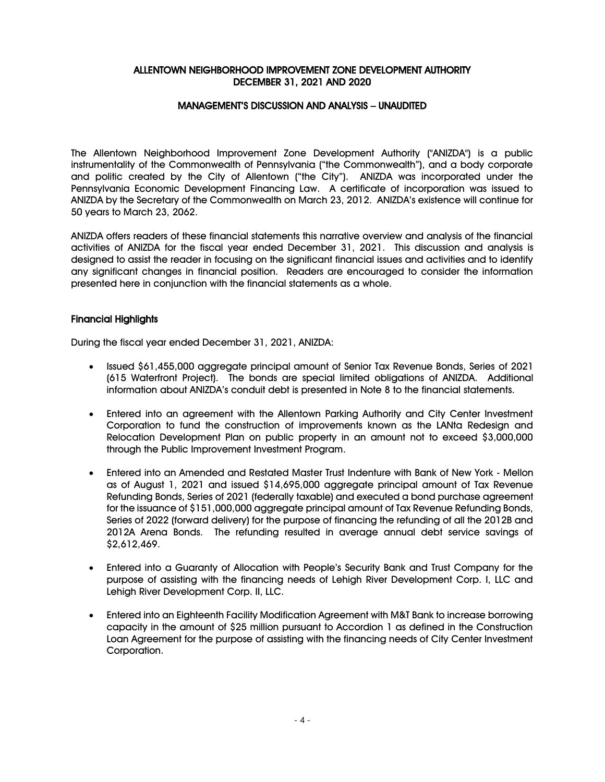## MANAGEMENT'S DISCUSSION AND ANALYSIS – UNAUDITED

The Allentown Neighborhood Improvement Zone Development Authority ("ANIZDA") is a public instrumentality of the Commonwealth of Pennsylvania ("the Commonwealth"), and a body corporate and politic created by the City of Allentown ("the City"). ANIZDA was incorporated under the Pennsylvania Economic Development Financing Law. A certificate of incorporation was issued to ANIZDA by the Secretary of the Commonwealth on March 23, 2012. ANIZDA's existence will continue for 50 years to March 23, 2062.

ANIZDA offers readers of these financial statements this narrative overview and analysis of the financial activities of ANIZDA for the fiscal year ended December 31, 2021. This discussion and analysis is designed to assist the reader in focusing on the significant financial issues and activities and to identify any significant changes in financial position. Readers are encouraged to consider the information presented here in conjunction with the financial statements as a whole.

## Financial Highlights

During the fiscal year ended December 31, 2021, ANIZDA:

- Issued \$61,455,000 aggregate principal amount of Senior Tax Revenue Bonds, Series of 2021 (615 Waterfront Project). The bonds are special limited obligations of ANIZDA. Additional information about ANIZDA's conduit debt is presented in Note 8 to the financial statements.
- Entered into an agreement with the Allentown Parking Authority and City Center Investment Corporation to fund the construction of improvements known as the LANta Redesign and Relocation Development Plan on public property in an amount not to exceed \$3,000,000 through the Public Improvement Investment Program.
- Entered into an Amended and Restated Master Trust Indenture with Bank of New York Mellon as of August 1, 2021 and issued \$14,695,000 aggregate principal amount of Tax Revenue Refunding Bonds, Series of 2021 (federally taxable) and executed a bond purchase agreement for the issuance of \$151,000,000 aggregate principal amount of Tax Revenue Refunding Bonds, Series of 2022 (forward delivery) for the purpose of financing the refunding of all the 2012B and 2012A Arena Bonds. The refunding resulted in average annual debt service savings of \$2,612,469.
- Entered into a Guaranty of Allocation with People's Security Bank and Trust Company for the purpose of assisting with the financing needs of Lehigh River Development Corp. I, LLC and Lehigh River Development Corp. II, LLC.
- Entered into an Eighteenth Facility Modification Agreement with M&T Bank to increase borrowing capacity in the amount of \$25 million pursuant to Accordion 1 as defined in the Construction Loan Agreement for the purpose of assisting with the financing needs of City Center Investment Corporation.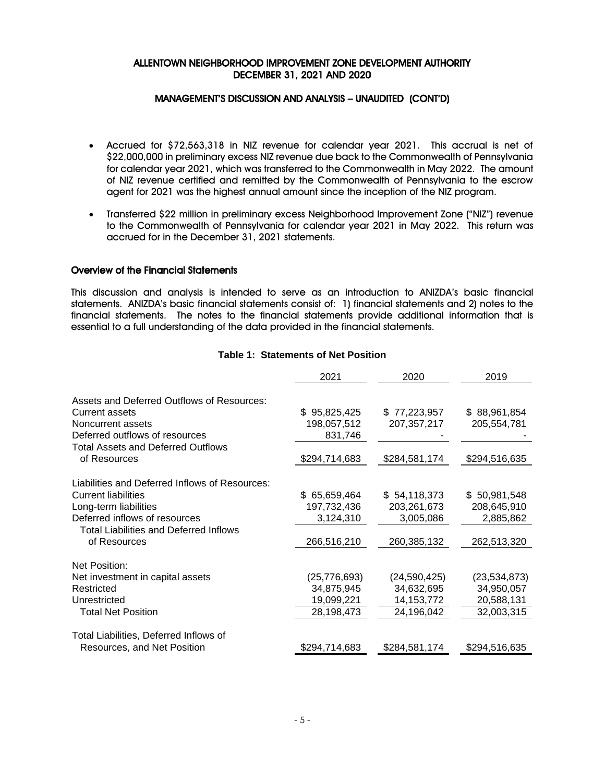## MANAGEMENT'S DISCUSSION AND ANALYSIS – UNAUDITED (CONT'D)

- Accrued for \$72,563,318 in NIZ revenue for calendar year 2021. This accrual is net of \$22,000,000 in preliminary excess NIZ revenue due back to the Commonwealth of Pennsylvania for calendar year 2021, which was transferred to the Commonwealth in May 2022. The amount of NIZ revenue certified and remitted by the Commonwealth of Pennsylvania to the escrow agent for 2021 was the highest annual amount since the inception of the NIZ program.
- Transferred \$22 million in preliminary excess Neighborhood Improvement Zone ("NIZ") revenue to the Commonwealth of Pennsylvania for calendar year 2021 in May 2022. This return was accrued for in the December 31, 2021 statements.

## Overview of the Financial Statements

This discussion and analysis is intended to serve as an introduction to ANIZDA's basic financial statements. ANIZDA's basic financial statements consist of: 1) financial statements and 2) notes to the financial statements. The notes to the financial statements provide additional information that is essential to a full understanding of the data provided in the financial statements.

|                                                | 2021          | 2020           | 2019           |
|------------------------------------------------|---------------|----------------|----------------|
| Assets and Deferred Outflows of Resources:     |               |                |                |
| Current assets                                 | \$95,825,425  | \$77,223,957   | \$88,961,854   |
| Noncurrent assets                              | 198,057,512   | 207, 357, 217  | 205,554,781    |
| Deferred outflows of resources                 | 831,746       |                |                |
| Total Assets and Deferred Outflows             |               |                |                |
| of Resources                                   | \$294,714,683 | \$284,581,174  | \$294,516,635  |
|                                                |               |                |                |
| Liabilities and Deferred Inflows of Resources: |               |                |                |
| <b>Current liabilities</b>                     | \$65,659,464  | \$54,118,373   | \$50,981,548   |
| Long-term liabilities                          | 197,732,436   | 203, 261, 673  | 208,645,910    |
| Deferred inflows of resources                  | 3,124,310     | 3,005,086      | 2,885,862      |
| <b>Total Liabilities and Deferred Inflows</b>  |               |                |                |
| of Resources                                   | 266,516,210   | 260,385,132    | 262,513,320    |
| Net Position:                                  |               |                |                |
| Net investment in capital assets               | (25,776,693)  | (24, 590, 425) | (23, 534, 873) |
| Restricted                                     | 34,875,945    | 34,632,695     | 34,950,057     |
| Unrestricted                                   | 19,099,221    | 14, 153, 772   | 20,588,131     |
| <b>Total Net Position</b>                      |               | 24,196,042     | 32,003,315     |
|                                                | 28,198,473    |                |                |
| Total Liabilities, Deferred Inflows of         |               |                |                |
| Resources, and Net Position                    | \$294,714,683 | \$284,581,174  | \$294,516,635  |
|                                                |               |                |                |

#### **Table 1: Statements of Net Position**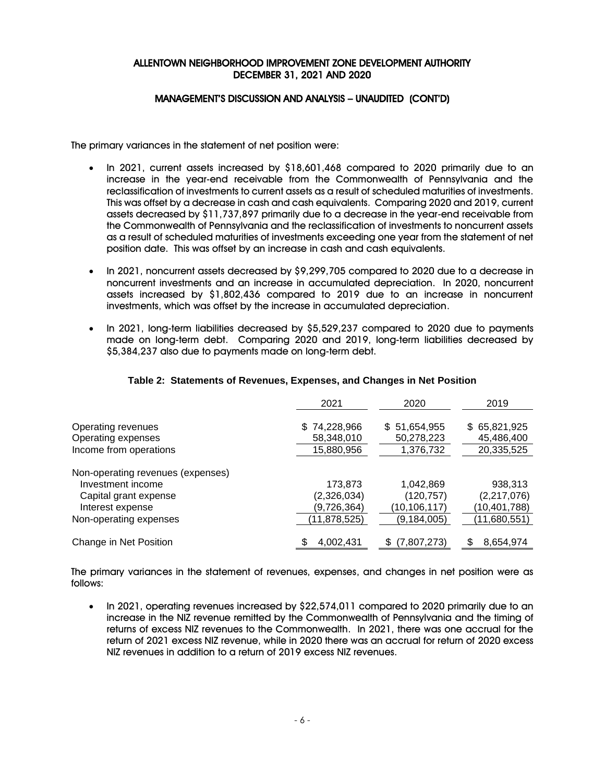## MANAGEMENT'S DISCUSSION AND ANALYSIS – UNAUDITED (CONT'D)

The primary variances in the statement of net position were:

- In 2021, current assets increased by \$18,601,468 compared to 2020 primarily due to an increase in the year-end receivable from the Commonwealth of Pennsylvania and the reclassification of investments to current assets as a result of scheduled maturities of investments. This was offset by a decrease in cash and cash equivalents. Comparing 2020 and 2019, current assets decreased by \$11,737,897 primarily due to a decrease in the year-end receivable from the Commonwealth of Pennsylvania and the reclassification of investments to noncurrent assets as a result of scheduled maturities of investments exceeding one year from the statement of net position date. This was offset by an increase in cash and cash equivalents.
- In 2021, noncurrent assets decreased by \$9,299,705 compared to 2020 due to a decrease in noncurrent investments and an increase in accumulated depreciation. In 2020, noncurrent assets increased by \$1,802,436 compared to 2019 due to an increase in noncurrent investments, which was offset by the increase in accumulated depreciation.
- In 2021, long-term liabilities decreased by \$5,529,237 compared to 2020 due to payments made on long-term debt. Comparing 2020 and 2019, long-term liabilities decreased by \$5,384,237 also due to payments made on long-term debt.

|                                                        | 2021<br>2020                          |                                           | 2019                                     |  |
|--------------------------------------------------------|---------------------------------------|-------------------------------------------|------------------------------------------|--|
| Operating revenues<br>Operating expenses               | \$74,228,966<br>58,348,010            | \$ 51,654,955<br>50,278,223               | \$65,821,925<br>45,486,400               |  |
| Income from operations                                 | 15,880,956                            | 1,376,732                                 | 20,335,525                               |  |
| Non-operating revenues (expenses)<br>Investment income |                                       |                                           |                                          |  |
| Capital grant expense<br>Interest expense              | 173,873<br>(2,326,034)<br>(9,726,364) | 1,042,869<br>(120, 757)<br>(10, 106, 117) | 938,313<br>(2,217,076)<br>(10, 401, 788) |  |
| Non-operating expenses                                 | (11,878,525)                          | (9, 184, 005)                             | 11,680,551)                              |  |
| Change in Net Position                                 | 4,002,431                             | (7,807,273)<br>S.                         | 8,654,974                                |  |

#### **Table 2: Statements of Revenues, Expenses, and Changes in Net Position**

The primary variances in the statement of revenues, expenses, and changes in net position were as follows:

• In 2021, operating revenues increased by \$22,574,011 compared to 2020 primarily due to an increase in the NIZ revenue remitted by the Commonwealth of Pennsylvania and the timing of returns of excess NIZ revenues to the Commonwealth. In 2021, there was one accrual for the return of 2021 excess NIZ revenue, while in 2020 there was an accrual for return of 2020 excess NIZ revenues in addition to a return of 2019 excess NIZ revenues.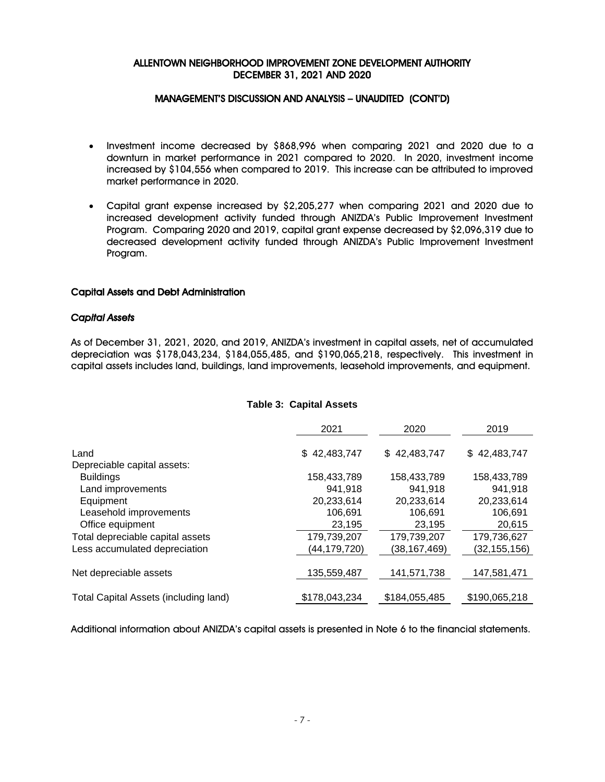## MANAGEMENT'S DISCUSSION AND ANALYSIS – UNAUDITED (CONT'D)

- Investment income decreased by \$868,996 when comparing 2021 and 2020 due to a downturn in market performance in 2021 compared to 2020. In 2020, investment income increased by \$104,556 when compared to 2019. This increase can be attributed to improved market performance in 2020.
- Capital grant expense increased by \$2,205,277 when comparing 2021 and 2020 due to increased development activity funded through ANIZDA's Public Improvement Investment Program. Comparing 2020 and 2019, capital grant expense decreased by \$2,096,319 due to decreased development activity funded through ANIZDA's Public Improvement Investment Program.

## Capital Assets and Debt Administration

## *Capital Assets*

As of December 31, 2021, 2020, and 2019, ANIZDA's investment in capital assets, net of accumulated depreciation was \$178,043,234, \$184,055,485, and \$190,065,218, respectively. This investment in capital assets includes land, buildings, land improvements, leasehold improvements, and equipment.

#### **Table 3: Capital Assets**

|                                              | 2021          | 2020          | 2019           |
|----------------------------------------------|---------------|---------------|----------------|
| Land                                         | \$42,483,747  | \$42,483,747  | \$42,483,747   |
| Depreciable capital assets:                  |               |               |                |
| <b>Buildings</b>                             | 158,433,789   | 158,433,789   | 158,433,789    |
| Land improvements                            | 941,918       | 941,918       | 941,918        |
| Equipment                                    | 20,233,614    | 20,233,614    | 20,233,614     |
| Leasehold improvements                       | 106,691       | 106,691       | 106,691        |
| Office equipment                             | 23,195        | 23,195        | 20,615         |
| Total depreciable capital assets             | 179,739,207   | 179,739,207   | 179,736,627    |
| Less accumulated depreciation                | (44,179,720)  | (38,167,469)  | (32, 155, 156) |
|                                              |               |               |                |
| Net depreciable assets                       | 135,559,487   | 141,571,738   | 147,581,471    |
|                                              |               |               |                |
| <b>Total Capital Assets (including land)</b> | \$178,043,234 | \$184,055,485 | \$190,065,218  |

Additional information about ANIZDA's capital assets is presented in Note 6 to the financial statements.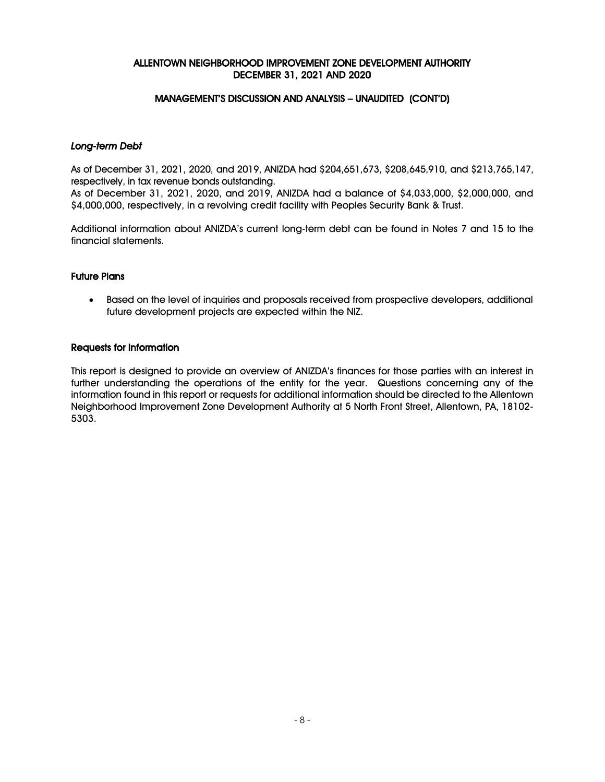## MANAGEMENT'S DISCUSSION AND ANALYSIS – UNAUDITED (CONT'D)

## *Long-term Debt*

As of December 31, 2021, 2020, and 2019, ANIZDA had \$204,651,673, \$208,645,910, and \$213,765,147, respectively, in tax revenue bonds outstanding. As of December 31, 2021, 2020, and 2019, ANIZDA had a balance of \$4,033,000, \$2,000,000, and \$4,000,000, respectively, in a revolving credit facility with Peoples Security Bank & Trust.

Additional information about ANIZDA's current long-term debt can be found in Notes 7 and 15 to the financial statements.

## Future Plans

• Based on the level of inquiries and proposals received from prospective developers, additional future development projects are expected within the NIZ.

## Requests for Information

This report is designed to provide an overview of ANIZDA's finances for those parties with an interest in further understanding the operations of the entity for the year. Questions concerning any of the information found in this report or requests for additional information should be directed to the Allentown Neighborhood Improvement Zone Development Authority at 5 North Front Street, Allentown, PA, 18102- 5303.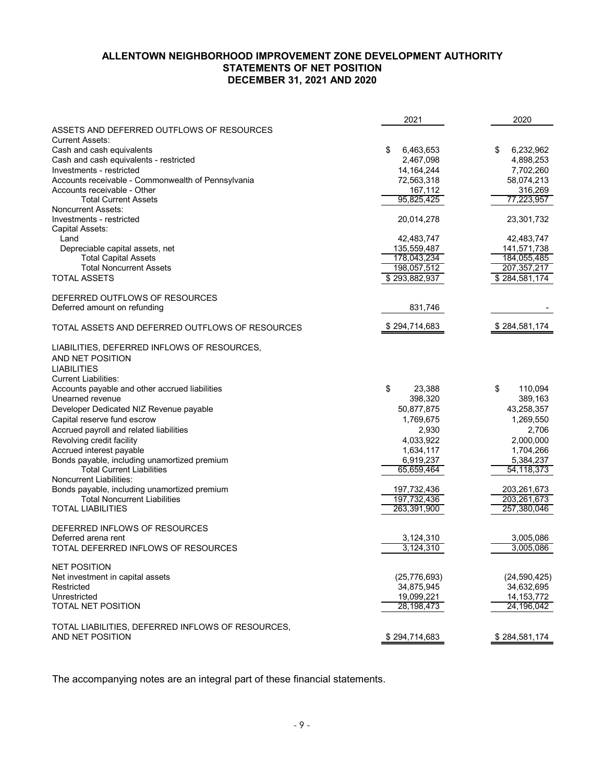# **ALLENTOWN NEIGHBORHOOD IMPROVEMENT ZONE DEVELOPMENT AUTHORITY STATEMENTS OF NET POSITION DECEMBER 31, 2021 AND 2020**

|                                                    | 2021            | 2020            |
|----------------------------------------------------|-----------------|-----------------|
| ASSETS AND DEFERRED OUTFLOWS OF RESOURCES          |                 |                 |
| <b>Current Assets:</b>                             |                 |                 |
| Cash and cash equivalents                          | \$<br>6,463,653 | \$<br>6,232,962 |
| Cash and cash equivalents - restricted             | 2,467,098       | 4,898,253       |
| Investments - restricted                           | 14, 164, 244    | 7,702,260       |
| Accounts receivable - Commonwealth of Pennsylvania | 72,563,318      | 58,074,213      |
| Accounts receivable - Other                        | 167,112         | 316,269         |
| <b>Total Current Assets</b>                        | 95,825,425      | 77,223,957      |
| <b>Noncurrent Assets:</b>                          |                 |                 |
| Investments - restricted                           | 20,014,278      | 23,301,732      |
| Capital Assets:                                    |                 |                 |
| Land                                               | 42,483,747      | 42,483,747      |
| Depreciable capital assets, net                    | 135,559,487     | 141,571,738     |
| <b>Total Capital Assets</b>                        | 178,043,234     | 184,055,485     |
| <b>Total Noncurrent Assets</b>                     | 198,057,512     | 207, 357, 217   |
| <b>TOTAL ASSETS</b>                                | \$293,882,937   | \$284,581,174   |
| DEFERRED OUTFLOWS OF RESOURCES                     |                 |                 |
| Deferred amount on refunding                       | 831,746         |                 |
|                                                    |                 |                 |
| TOTAL ASSETS AND DEFERRED OUTFLOWS OF RESOURCES    | \$294,714,683   | \$284,581,174   |
| LIABILITIES, DEFERRED INFLOWS OF RESOURCES,        |                 |                 |
| AND NET POSITION                                   |                 |                 |
| <b>LIABILITIES</b>                                 |                 |                 |
| Current Liabilities:                               |                 |                 |
| Accounts payable and other accrued liabilities     | \$<br>23,388    | \$<br>110,094   |
| Unearned revenue                                   | 398,320         | 389,163         |
| Developer Dedicated NIZ Revenue payable            | 50,877,875      | 43,258,357      |
| Capital reserve fund escrow                        | 1,769,675       | 1,269,550       |
| Accrued payroll and related liabilities            | 2,930           | 2,706           |
| Revolving credit facility                          | 4,033,922       | 2,000,000       |
| Accrued interest payable                           | 1,634,117       | 1,704,266       |
| Bonds payable, including unamortized premium       | 6,919,237       | 5,384,237       |
| <b>Total Current Liabilities</b>                   | 65,659,464      | 54,118,373      |
| <b>Noncurrent Liabilities:</b>                     |                 |                 |
| Bonds payable, including unamortized premium       | 197,732,436     | 203,261,673     |
| <b>Total Noncurrent Liabilities</b>                | 197,732,436     | 203,261,673     |
| <b>TOTAL LIABILITIES</b>                           | 263,391,900     | 257,380,046     |
|                                                    |                 |                 |
| DEFERRED INFLOWS OF RESOURCES                      |                 |                 |
| Deferred arena rent                                | 3,124,310       | 3,005,086       |
| TOTAL DEFERRED INFLOWS OF RESOURCES                | 3,124,310       | 3,005,086       |
| <b>NET POSITION</b>                                |                 |                 |
| Net investment in capital assets                   | (25, 776, 693)  | (24, 590, 425)  |
| Restricted                                         | 34,875,945      | 34,632,695      |
| Unrestricted                                       | 19,099,221      | 14, 153, 772    |
| TOTAL NET POSITION                                 | 28, 198, 473    | 24,196,042      |
| TOTAL LIABILITIES, DEFERRED INFLOWS OF RESOURCES,  |                 |                 |
|                                                    |                 |                 |
| AND NET POSITION                                   | \$294,714,683   | \$284,581,174   |

The accompanying notes are an integral part of these financial statements.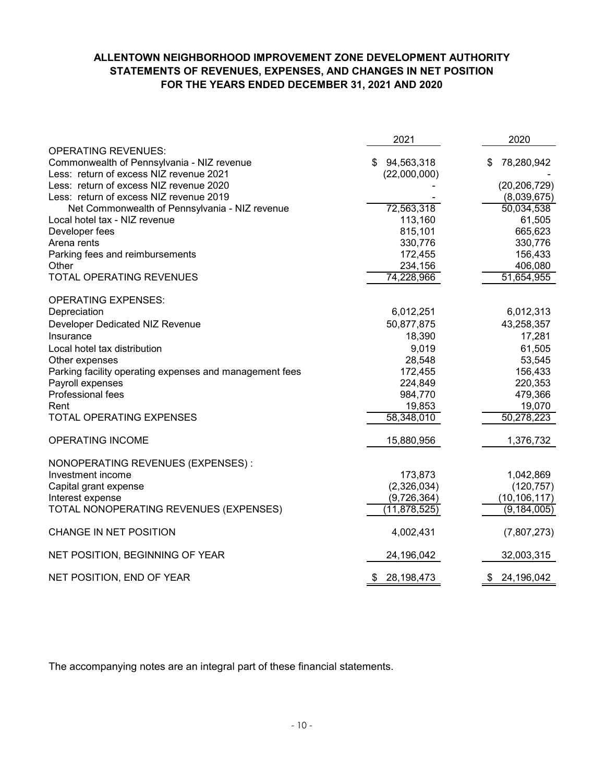# **ALLENTOWN NEIGHBORHOOD IMPROVEMENT ZONE DEVELOPMENT AUTHORITY STATEMENTS OF REVENUES, EXPENSES, AND CHANGES IN NET POSITION FOR THE YEARS ENDED DECEMBER 31, 2021 AND 2020**

|                                                            | 2021                          | 2020                            |
|------------------------------------------------------------|-------------------------------|---------------------------------|
| <b>OPERATING REVENUES:</b>                                 |                               |                                 |
| Commonwealth of Pennsylvania - NIZ revenue                 | 94,563,318<br>\$              | 78,280,942<br>S                 |
| Less: return of excess NIZ revenue 2021                    | (22,000,000)                  |                                 |
| Less: return of excess NIZ revenue 2020                    |                               | (20, 206, 729)                  |
| Less: return of excess NIZ revenue 2019                    |                               | (8,039,675)                     |
| Net Commonwealth of Pennsylvania - NIZ revenue             | 72,563,318                    | 50,034,538                      |
| Local hotel tax - NIZ revenue                              | 113,160                       | 61,505                          |
| Developer fees                                             | 815,101                       | 665,623                         |
| Arena rents                                                | 330,776                       | 330,776                         |
| Parking fees and reimbursements                            | 172,455                       | 156,433                         |
| Other                                                      | 234,156                       | 406,080                         |
| TOTAL OPERATING REVENUES                                   | 74,228,966                    | 51,654,955                      |
| <b>OPERATING EXPENSES:</b>                                 |                               |                                 |
| Depreciation                                               | 6,012,251                     | 6,012,313                       |
| Developer Dedicated NIZ Revenue                            | 50,877,875                    | 43,258,357                      |
| Insurance                                                  | 18,390                        | 17,281                          |
| Local hotel tax distribution                               | 9,019                         | 61,505                          |
| Other expenses                                             | 28,548                        | 53,545                          |
| Parking facility operating expenses and management fees    | 172,455                       | 156,433                         |
| Payroll expenses                                           | 224,849                       | 220,353                         |
| Professional fees                                          | 984,770                       | 479,366                         |
| Rent                                                       | 19,853                        | 19,070                          |
| <b>TOTAL OPERATING EXPENSES</b>                            | 58,348,010                    | 50,278,223                      |
| <b>OPERATING INCOME</b>                                    | 15,880,956                    | 1,376,732                       |
|                                                            |                               |                                 |
| NONOPERATING REVENUES (EXPENSES):<br>Investment income     | 173,873                       |                                 |
|                                                            |                               | 1,042,869                       |
| Capital grant expense                                      | (2,326,034)                   | (120, 757)                      |
| Interest expense<br>TOTAL NONOPERATING REVENUES (EXPENSES) | (9,726,364)<br>(11, 878, 525) | (10, 106, 117)<br>(9, 184, 005) |
|                                                            |                               |                                 |
| CHANGE IN NET POSITION                                     | 4,002,431                     | (7,807,273)                     |
| NET POSITION, BEGINNING OF YEAR                            | 24,196,042                    | 32,003,315                      |
| NET POSITION, END OF YEAR                                  | 28,198,473<br>\$              | 24,196,042<br>\$                |

The accompanying notes are an integral part of these financial statements.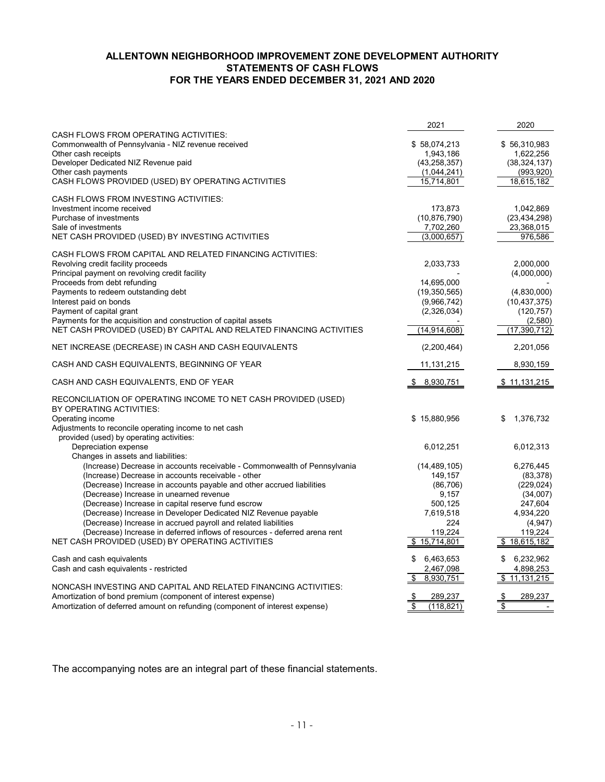# **FOR THE YEARS ENDED DECEMBER 31, 2021 AND 2020 ALLENTOWN NEIGHBORHOOD IMPROVEMENT ZONE DEVELOPMENT AUTHORITY STATEMENTS OF CASH FLOWS**

|                                                                              | 2021                 | 2020                     |
|------------------------------------------------------------------------------|----------------------|--------------------------|
| CASH FLOWS FROM OPERATING ACTIVITIES:                                        |                      |                          |
| Commonwealth of Pennsylvania - NIZ revenue received                          | \$58,074,213         | \$56,310,983             |
| Other cash receipts                                                          | 1,943,186            | 1,622,256                |
| Developer Dedicated NIZ Revenue paid                                         | (43, 258, 357)       | (38, 324, 137)           |
| Other cash payments                                                          | (1,044,241)          | (993, 920)               |
| CASH FLOWS PROVIDED (USED) BY OPERATING ACTIVITIES                           | 15,714,801           | 18,615,182               |
| CASH FLOWS FROM INVESTING ACTIVITIES:                                        |                      |                          |
| Investment income received                                                   | 173,873              | 1,042,869                |
| Purchase of investments                                                      | (10, 876, 790)       | (23, 434, 298)           |
| Sale of investments                                                          | 7,702,260            | 23,368,015               |
| NET CASH PROVIDED (USED) BY INVESTING ACTIVITIES                             | (3,000,657)          | 976,586                  |
|                                                                              |                      |                          |
| CASH FLOWS FROM CAPITAL AND RELATED FINANCING ACTIVITIES:                    |                      |                          |
| Revolving credit facility proceeds                                           | 2,033,733            | 2,000,000                |
| Principal payment on revolving credit facility                               |                      | (4,000,000)              |
| Proceeds from debt refunding                                                 | 14,695,000           |                          |
| Payments to redeem outstanding debt                                          | (19, 350, 565)       | (4,830,000)              |
| Interest paid on bonds                                                       | (9,966,742)          | (10, 437, 375)           |
| Payment of capital grant                                                     | (2,326,034)          | (120, 757)               |
| Payments for the acquisition and construction of capital assets              |                      | (2,580)                  |
| NET CASH PROVIDED (USED) BY CAPITAL AND RELATED FINANCING ACTIVITIES         | (14, 914, 608)       | (17, 390, 712)           |
| NET INCREASE (DECREASE) IN CASH AND CASH EQUIVALENTS                         | (2,200,464)          | 2,201,056                |
| CASH AND CASH EQUIVALENTS, BEGINNING OF YEAR                                 | 11,131,215           | 8,930,159                |
| CASH AND CASH EQUIVALENTS, END OF YEAR                                       | \$8,930,751          | \$11,131,215             |
| RECONCILIATION OF OPERATING INCOME TO NET CASH PROVIDED (USED)               |                      |                          |
| BY OPERATING ACTIVITIES:                                                     |                      |                          |
| Operating income                                                             | \$15,880,956         | 1,376,732<br>\$          |
| Adjustments to reconcile operating income to net cash                        |                      |                          |
| provided (used) by operating activities:                                     |                      |                          |
| Depreciation expense                                                         | 6,012,251            | 6,012,313                |
| Changes in assets and liabilities:                                           |                      |                          |
| (Increase) Decrease in accounts receivable - Commonwealth of Pennsylvania    | (14, 489, 105)       | 6,276,445                |
| (Increase) Decrease in accounts receivable - other                           | 149,157              | (83, 378)                |
| (Decrease) Increase in accounts payable and other accrued liabilities        | (86, 706)            | (229, 024)               |
| (Decrease) Increase in unearned revenue                                      | 9,157                | (34,007)                 |
| (Decrease) Increase in capital reserve fund escrow                           | 500,125              | 247,604                  |
| (Decrease) Increase in Developer Dedicated NIZ Revenue payable               | 7,619,518            | 4,934,220                |
| (Decrease) Increase in accrued payroll and related liabilities               | 224                  | (4, 947)                 |
| (Decrease) Increase in deferred inflows of resources - deferred arena rent   | 119,224              | 119,224                  |
| NET CASH PROVIDED (USED) BY OPERATING ACTIVITIES                             | 15,714,801<br>\$     | \$18,615,182             |
| Cash and cash equivalents                                                    | 6,463,653<br>\$      | \$<br>6,232,962          |
| Cash and cash equivalents - restricted                                       | 2,467,098            | 4,898,253                |
|                                                                              | 8,930,751<br>\$      | \$11,131,215             |
| NONCASH INVESTING AND CAPITAL AND RELATED FINANCING ACTIVITIES:              |                      |                          |
| Amortization of bond premium (component of interest expense)                 | 289,237<br><u>\$</u> | 289,237<br>$\frac{1}{2}$ |
| Amortization of deferred amount on refunding (component of interest expense) | S<br>(118, 821)      |                          |
|                                                                              |                      |                          |

The accompanying notes are an integral part of these financial statements.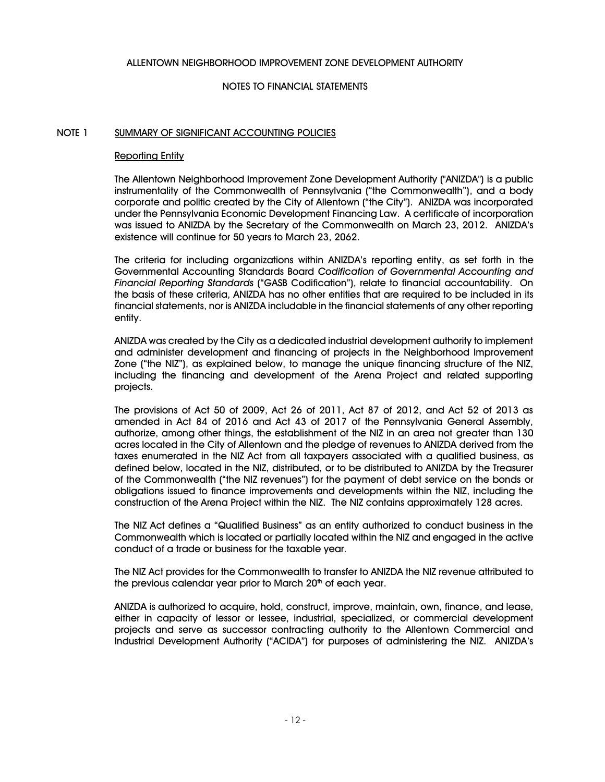## NOTES TO FINANCIAL STATEMENTS

## NOTE 1 SUMMARY OF SIGNIFICANT ACCOUNTING POLICIES

#### Reporting Entity

The Allentown Neighborhood Improvement Zone Development Authority ("ANIZDA") is a public instrumentality of the Commonwealth of Pennsylvania ("the Commonwealth"), and a body corporate and politic created by the City of Allentown ("the City"). ANIZDA was incorporated under the Pennsylvania Economic Development Financing Law. A certificate of incorporation was issued to ANIZDA by the Secretary of the Commonwealth on March 23, 2012. ANIZDA's existence will continue for 50 years to March 23, 2062.

The criteria for including organizations within ANIZDA's reporting entity, as set forth in the Governmental Accounting Standards Board *Codification of Governmental Accounting and Financial Reporting Standards* ("GASB Codification"), relate to financial accountability. On the basis of these criteria, ANIZDA has no other entities that are required to be included in its financial statements, nor is ANIZDA includable in the financial statements of any other reporting entity.

ANIZDA was created by the City as a dedicated industrial development authority to implement and administer development and financing of projects in the Neighborhood Improvement Zone ("the NIZ"), as explained below, to manage the unique financing structure of the NIZ, including the financing and development of the Arena Project and related supporting projects.

The provisions of Act 50 of 2009, Act 26 of 2011, Act 87 of 2012, and Act 52 of 2013 as amended in Act 84 of 2016 and Act 43 of 2017 of the Pennsylvania General Assembly, authorize, among other things, the establishment of the NIZ in an area not greater than 130 acres located in the City of Allentown and the pledge of revenues to ANIZDA derived from the taxes enumerated in the NIZ Act from all taxpayers associated with a qualified business, as defined below, located in the NIZ, distributed, or to be distributed to ANIZDA by the Treasurer of the Commonwealth ("the NIZ revenues") for the payment of debt service on the bonds or obligations issued to finance improvements and developments within the NIZ, including the construction of the Arena Project within the NIZ. The NIZ contains approximately 128 acres.

The NIZ Act defines a "Qualified Business" as an entity authorized to conduct business in the Commonwealth which is located or partially located within the NIZ and engaged in the active conduct of a trade or business for the taxable year.

The NIZ Act provides for the Commonwealth to transfer to ANIZDA the NIZ revenue attributed to the previous calendar year prior to March  $20<sup>th</sup>$  of each year.

ANIZDA is authorized to acquire, hold, construct, improve, maintain, own, finance, and lease, either in capacity of lessor or lessee, industrial, specialized, or commercial development projects and serve as successor contracting authority to the Allentown Commercial and Industrial Development Authority ("ACIDA") for purposes of administering the NIZ. ANIZDA's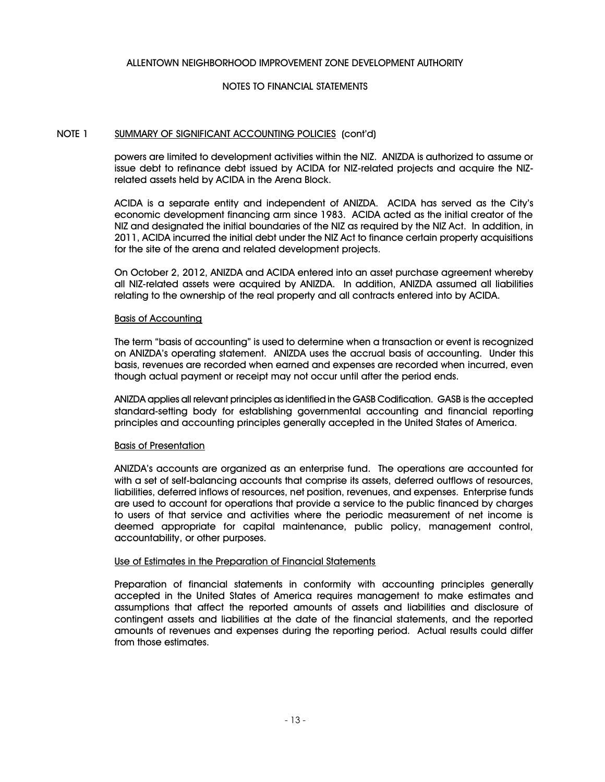## NOTES TO FINANCIAL STATEMENTS

## NOTE 1 SUMMARY OF SIGNIFICANT ACCOUNTING POLICIES (cont'd)

powers are limited to development activities within the NIZ. ANIZDA is authorized to assume or issue debt to refinance debt issued by ACIDA for NIZ-related projects and acquire the NIZrelated assets held by ACIDA in the Arena Block.

ACIDA is a separate entity and independent of ANIZDA. ACIDA has served as the City's economic development financing arm since 1983. ACIDA acted as the initial creator of the NIZ and designated the initial boundaries of the NIZ as required by the NIZ Act. In addition, in 2011, ACIDA incurred the initial debt under the NIZ Act to finance certain property acquisitions for the site of the arena and related development projects.

On October 2, 2012, ANIZDA and ACIDA entered into an asset purchase agreement whereby all NIZ-related assets were acquired by ANIZDA. In addition, ANIZDA assumed all liabilities relating to the ownership of the real property and all contracts entered into by ACIDA.

#### Basis of Accounting

The term "basis of accounting" is used to determine when a transaction or event is recognized on ANIZDA's operating statement. ANIZDA uses the accrual basis of accounting. Under this basis, revenues are recorded when earned and expenses are recorded when incurred, even though actual payment or receipt may not occur until after the period ends.

ANIZDA applies all relevant principles as identified in the GASB Codification. GASB is the accepted standard-setting body for establishing governmental accounting and financial reporting principles and accounting principles generally accepted in the United States of America.

## Basis of Presentation

ANIZDA's accounts are organized as an enterprise fund. The operations are accounted for with a set of self-balancing accounts that comprise its assets, deferred outflows of resources, liabilities, deferred inflows of resources, net position, revenues, and expenses. Enterprise funds are used to account for operations that provide a service to the public financed by charges to users of that service and activities where the periodic measurement of net income is deemed appropriate for capital maintenance, public policy, management control, accountability, or other purposes.

## Use of Estimates in the Preparation of Financial Statements

Preparation of financial statements in conformity with accounting principles generally accepted in the United States of America requires management to make estimates and assumptions that affect the reported amounts of assets and liabilities and disclosure of contingent assets and liabilities at the date of the financial statements, and the reported amounts of revenues and expenses during the reporting period. Actual results could differ from those estimates.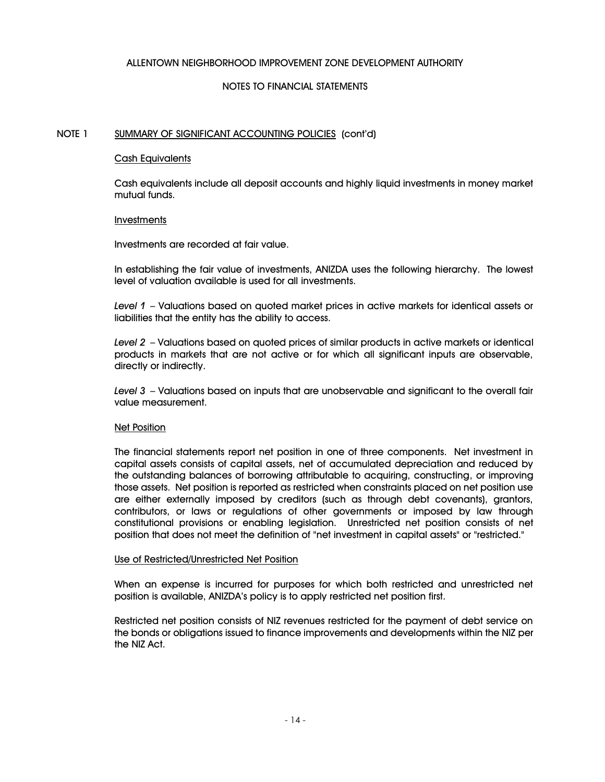## NOTES TO FINANCIAL STATEMENTS

## NOTE 1 SUMMARY OF SIGNIFICANT ACCOUNTING POLICIES (cont'd)

#### Cash Equivalents

Cash equivalents include all deposit accounts and highly liquid investments in money market mutual funds.

#### **Investments**

Investments are recorded at fair value.

In establishing the fair value of investments, ANIZDA uses the following hierarchy. The lowest level of valuation available is used for all investments.

*Level 1* – Valuations based on quoted market prices in active markets for identical assets or liabilities that the entity has the ability to access.

*Level 2* – Valuations based on quoted prices of similar products in active markets or identical products in markets that are not active or for which all significant inputs are observable, directly or indirectly.

*Level 3* – Valuations based on inputs that are unobservable and significant to the overall fair value measurement.

## Net Position

The financial statements report net position in one of three components. Net investment in capital assets consists of capital assets, net of accumulated depreciation and reduced by the outstanding balances of borrowing attributable to acquiring, constructing, or improving those assets. Net position is reported as restricted when constraints placed on net position use are either externally imposed by creditors (such as through debt covenants), grantors, contributors, or laws or regulations of other governments or imposed by law through constitutional provisions or enabling legislation. Unrestricted net position consists of net position that does not meet the definition of "net investment in capital assets" or "restricted."

#### Use of Restricted/Unrestricted Net Position

When an expense is incurred for purposes for which both restricted and unrestricted net position is available, ANIZDA's policy is to apply restricted net position first.

Restricted net position consists of NIZ revenues restricted for the payment of debt service on the bonds or obligations issued to finance improvements and developments within the NIZ per the NIZ Act.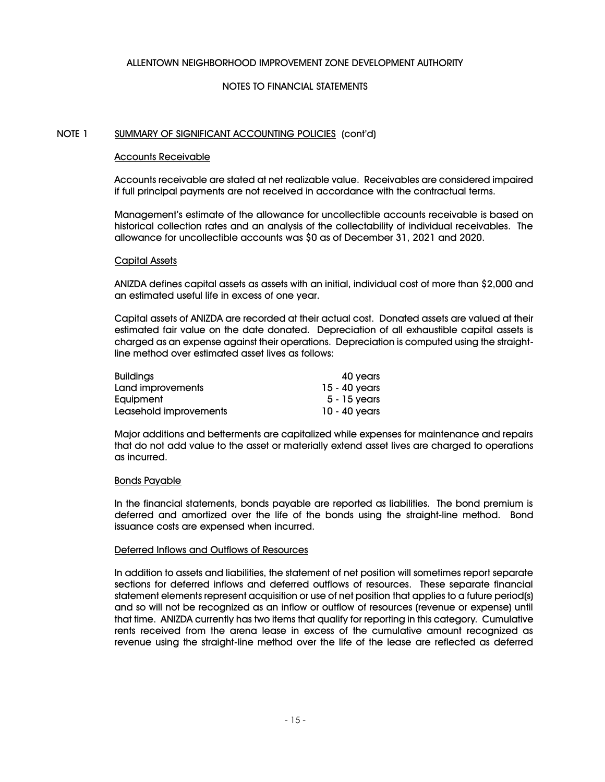## NOTES TO FINANCIAL STATEMENTS

## NOTE 1 SUMMARY OF SIGNIFICANT ACCOUNTING POLICIES (cont'd)

#### Accounts Receivable

Accounts receivable are stated at net realizable value. Receivables are considered impaired if full principal payments are not received in accordance with the contractual terms.

Management's estimate of the allowance for uncollectible accounts receivable is based on historical collection rates and an analysis of the collectability of individual receivables. The allowance for uncollectible accounts was \$0 as of December 31, 2021 and 2020.

#### Capital Assets

ANIZDA defines capital assets as assets with an initial, individual cost of more than \$2,000 and an estimated useful life in excess of one year.

Capital assets of ANIZDA are recorded at their actual cost. Donated assets are valued at their estimated fair value on the date donated. Depreciation of all exhaustible capital assets is charged as an expense against their operations. Depreciation is computed using the straightline method over estimated asset lives as follows:

| <b>Buildings</b>       | 40 years       |
|------------------------|----------------|
| Land improvements      | 15 - 40 vears  |
| Equipment              | $5 - 15$ years |
| Leasehold improvements | 10 - 40 vears  |

Major additions and betterments are capitalized while expenses for maintenance and repairs that do not add value to the asset or materially extend asset lives are charged to operations as incurred.

#### Bonds Payable

In the financial statements, bonds payable are reported as liabilities. The bond premium is deferred and amortized over the life of the bonds using the straight-line method. Bond issuance costs are expensed when incurred.

#### Deferred Inflows and Outflows of Resources

In addition to assets and liabilities, the statement of net position will sometimes report separate sections for deferred inflows and deferred outflows of resources. These separate financial statement elements represent acquisition or use of net position that applies to a future period(s) and so will not be recognized as an inflow or outflow of resources (revenue or expense) until that time. ANIZDA currently has two items that qualify for reporting in this category. Cumulative rents received from the arena lease in excess of the cumulative amount recognized as revenue using the straight-line method over the life of the lease are reflected as deferred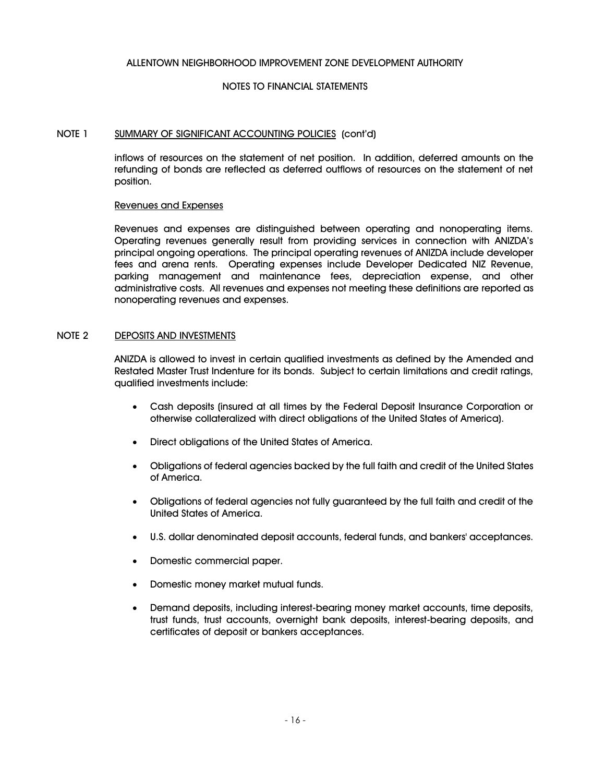## NOTES TO FINANCIAL STATEMENTS

## NOTE 1 SUMMARY OF SIGNIFICANT ACCOUNTING POLICIES (cont'd)

inflows of resources on the statement of net position. In addition, deferred amounts on the refunding of bonds are reflected as deferred outflows of resources on the statement of net position.

## Revenues and Expenses

Revenues and expenses are distinguished between operating and nonoperating items. Operating revenues generally result from providing services in connection with ANIZDA's principal ongoing operations. The principal operating revenues of ANIZDA include developer fees and arena rents. Operating expenses include Developer Dedicated NIZ Revenue, parking management and maintenance fees, depreciation expense, and other administrative costs. All revenues and expenses not meeting these definitions are reported as nonoperating revenues and expenses.

## NOTE 2 DEPOSITS AND INVESTMENTS

ANIZDA is allowed to invest in certain qualified investments as defined by the Amended and Restated Master Trust Indenture for its bonds. Subject to certain limitations and credit ratings, qualified investments include:

- Cash deposits (insured at all times by the Federal Deposit Insurance Corporation or otherwise collateralized with direct obligations of the United States of America).
- Direct obligations of the United States of America.
- Obligations of federal agencies backed by the full faith and credit of the United States of America.
- Obligations of federal agencies not fully guaranteed by the full faith and credit of the United States of America.
- U.S. dollar denominated deposit accounts, federal funds, and bankers' acceptances.
- Domestic commercial paper.
- Domestic money market mutual funds.
- Demand deposits, including interest-bearing money market accounts, time deposits, trust funds, trust accounts, overnight bank deposits, interest-bearing deposits, and certificates of deposit or bankers acceptances.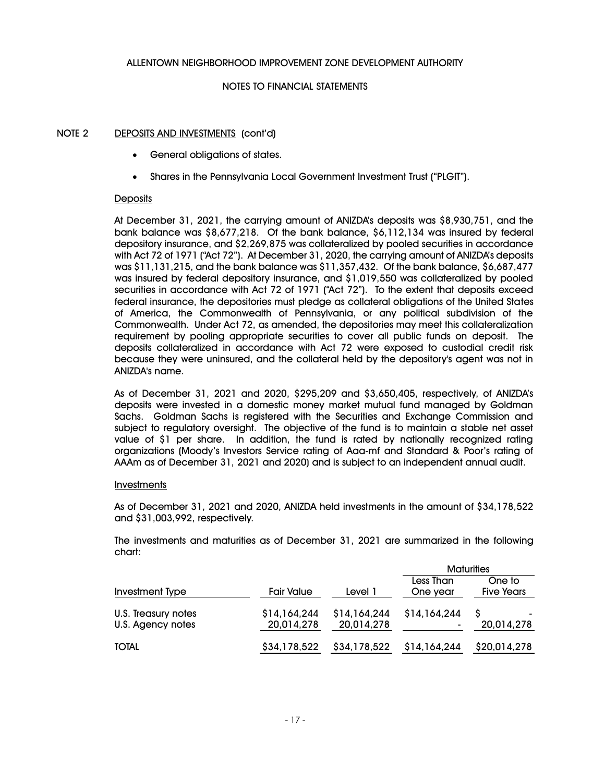## NOTES TO FINANCIAL STATEMENTS

## NOTE 2 DEPOSITS AND INVESTMENTS (cont'd)

- General obligations of states.
- Shares in the Pennsylvania Local Government Investment Trust ("PLGIT").

## **Deposits**

At December 31, 2021, the carrying amount of ANIZDA's deposits was \$8,930,751, and the bank balance was \$8,677,218. Of the bank balance, \$6,112,134 was insured by federal depository insurance, and \$2,269,875 was collateralized by pooled securities in accordance with Act 72 of 1971 ("Act 72"). At December 31, 2020, the carrying amount of ANIZDA's deposits was \$11,131,215, and the bank balance was \$11,357,432. Of the bank balance, \$6,687,477 was insured by federal depository insurance, and \$1,019,550 was collateralized by pooled securities in accordance with Act 72 of 1971 ("Act 72"). To the extent that deposits exceed federal insurance, the depositories must pledge as collateral obligations of the United States of America, the Commonwealth of Pennsylvania, or any political subdivision of the Commonwealth. Under Act 72, as amended, the depositories may meet this collateralization requirement by pooling appropriate securities to cover all public funds on deposit. The deposits collateralized in accordance with Act 72 were exposed to custodial credit risk because they were uninsured, and the collateral held by the depository's agent was not in ANIZDA's name.

As of December 31, 2021 and 2020, \$295,209 and \$3,650,405, respectively, of ANIZDA's deposits were invested in a domestic money market mutual fund managed by Goldman Sachs. Goldman Sachs is registered with the Securities and Exchange Commission and subject to regulatory oversight. The objective of the fund is to maintain a stable net asset value of \$1 per share. In addition, the fund is rated by nationally recognized rating organizations (Moody's Investors Service rating of Aaa-mf and Standard & Poor's rating of AAAm as of December 31, 2021 and 2020) and is subject to an independent annual audit.

## Investments

As of December 31, 2021 and 2020, ANIZDA held investments in the amount of \$34,178,522 and \$31,003,992, respectively.

The investments and maturities as of December 31, 2021 are summarized in the following chart:

|                                          |                            |                            |                                          | <b>Maturities</b>           |  |
|------------------------------------------|----------------------------|----------------------------|------------------------------------------|-----------------------------|--|
| Investment Type                          | <b>Fair Value</b>          | Level 1                    | Less Than<br>One year                    | One to<br><b>Five Years</b> |  |
| U.S. Treasury notes<br>U.S. Agency notes | \$14,164,244<br>20,014,278 | \$14,164,244<br>20,014,278 | \$14,164,244<br>$\overline{\phantom{0}}$ | 20,014,278                  |  |
| <b>TOTAL</b>                             | \$34,178,522               | \$34,178,522               | \$14,164,244                             | \$20,014,278                |  |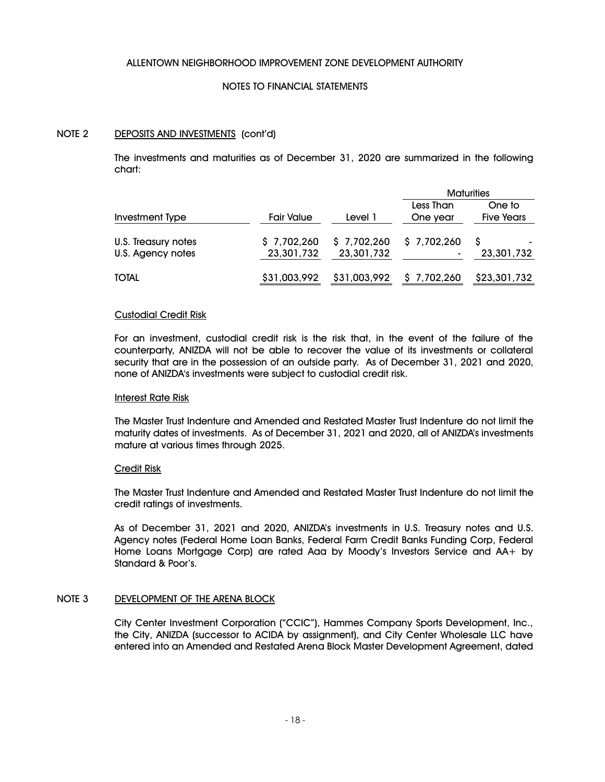## NOTES TO FINANCIAL STATEMENTS

## NOTE 2 DEPOSITS AND INVESTMENTS (cont'd)

The investments and maturities as of December 31, 2020 are summarized in the following chart:

|                                          |                           |                           |                       | <b>Maturities</b>           |
|------------------------------------------|---------------------------|---------------------------|-----------------------|-----------------------------|
| Investment Type                          | <b>Fair Value</b>         | Level 1                   | Less Than<br>One year | One to<br><b>Five Years</b> |
| U.S. Treasury notes<br>U.S. Agency notes | \$7,702,260<br>23,301,732 | \$7,702,260<br>23,301,732 | \$7,702,260           | 23,301,732                  |
| <b>TOTAL</b>                             | \$31,003,992              | \$31,003,992              | \$7,702,260           | \$23,301,732                |

#### Custodial Credit Risk

For an investment, custodial credit risk is the risk that, in the event of the failure of the counterparty, ANIZDA will not be able to recover the value of its investments or collateral security that are in the possession of an outside party. As of December 31, 2021 and 2020, none of ANIZDA's investments were subject to custodial credit risk.

#### Interest Rate Risk

The Master Trust Indenture and Amended and Restated Master Trust Indenture do not limit the maturity dates of investments. As of December 31, 2021 and 2020, all of ANIZDA's investments mature at various times through 2025.

## Credit Risk

The Master Trust Indenture and Amended and Restated Master Trust Indenture do not limit the credit ratings of investments.

As of December 31, 2021 and 2020, ANIZDA's investments in U.S. Treasury notes and U.S. Agency notes (Federal Home Loan Banks, Federal Farm Credit Banks Funding Corp, Federal Home Loans Mortgage Corp) are rated Aaa by Moody's Investors Service and AA+ by Standard & Poor's.

## NOTE 3 DEVELOPMENT OF THE ARENA BLOCK

City Center Investment Corporation ("CCIC"), Hammes Company Sports Development, Inc., the City, ANIZDA (successor to ACIDA by assignment), and City Center Wholesale LLC have entered into an Amended and Restated Arena Block Master Development Agreement, dated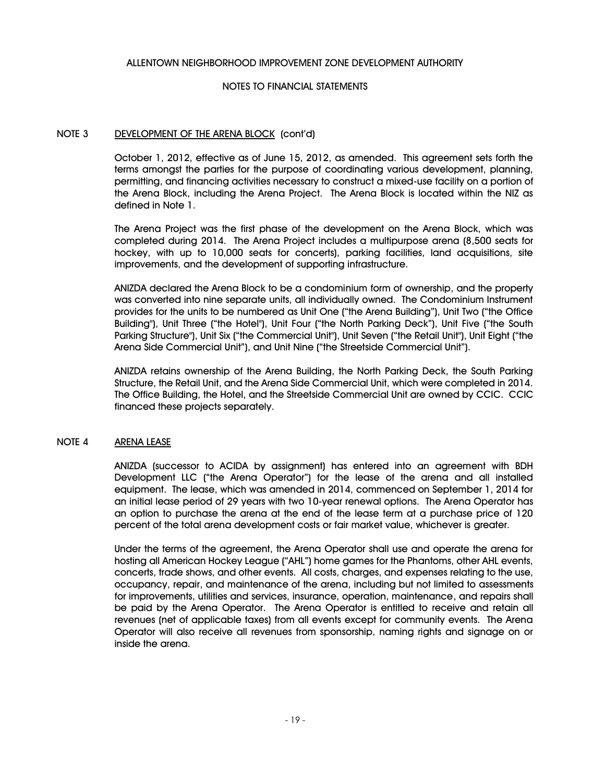## NOTES TO FINANCIAL STATEMENTS

## NOTE 3 DEVELOPMENT OF THE ARENA BLOCK (cont'd)

October 1, 2012, effective as of June 15, 2012, as amended. This agreement sets forth the terms amongst the parties for the purpose of coordinating various development, planning, permitting, and financing activities necessary to construct a mixed-use facility on a portion of the Arena Block, including the Arena Project. The Arena Block is located within the NIZ as defined in Note 1.

The Arena Project was the first phase of the development on the Arena Block, which was completed during 2014. The Arena Project includes a multipurpose arena (8,500 seats for hockey, with up to 10,000 seats for concerts), parking facilities, land acquisitions, site improvements, and the development of supporting infrastructure.

ANIZDA declared the Arena Block to be a condominium form of ownership, and the property was converted into nine separate units, all individually owned. The Condominium Instrument provides for the units to be numbered as Unit One ("the Arena Building"), Unit Two ("the Office Building"), Unit Three ("the Hotel"), Unit Four ("the North Parking Deck"), Unit Five ("the South Parking Structure"), Unit Six ("the Commercial Unit"), Unit Seven ("the Retail Unit"), Unit Eight ("the Arena Side Commercial Unit"), and Unit Nine ("the Streetside Commercial Unit").

ANIZDA retains ownership of the Arena Building, the North Parking Deck, the South Parking Structure, the Retail Unit, and the Arena Side Commercial Unit, which were completed in 2014. The Office Building, the Hotel, and the Streetside Commercial Unit are owned by CCIC. CCIC financed these projects separately.

## NOTE 4 ARENA LEASE

ANIZDA (successor to ACIDA by assignment) has entered into an agreement with BDH Development LLC ("the Arena Operator") for the lease of the arena and all installed equipment. The lease, which was amended in 2014, commenced on September 1, 2014 for an initial lease period of 29 years with two 10-year renewal options. The Arena Operator has an option to purchase the arena at the end of the lease term at a purchase price of 120 percent of the total arena development costs or fair market value, whichever is greater.

Under the terms of the agreement, the Arena Operator shall use and operate the arena for hosting all American Hockey League ("AHL") home games for the Phantoms, other AHL events, concerts, trade shows, and other events. All costs, charges, and expenses relating to the use, occupancy, repair, and maintenance of the arena, including but not limited to assessments for improvements, utilities and services, insurance, operation, maintenance, and repairs shall be paid by the Arena Operator. The Arena Operator is entitled to receive and retain all revenues (net of applicable taxes) from all events except for community events. The Arena Operator will also receive all revenues from sponsorship, naming rights and signage on or inside the arena.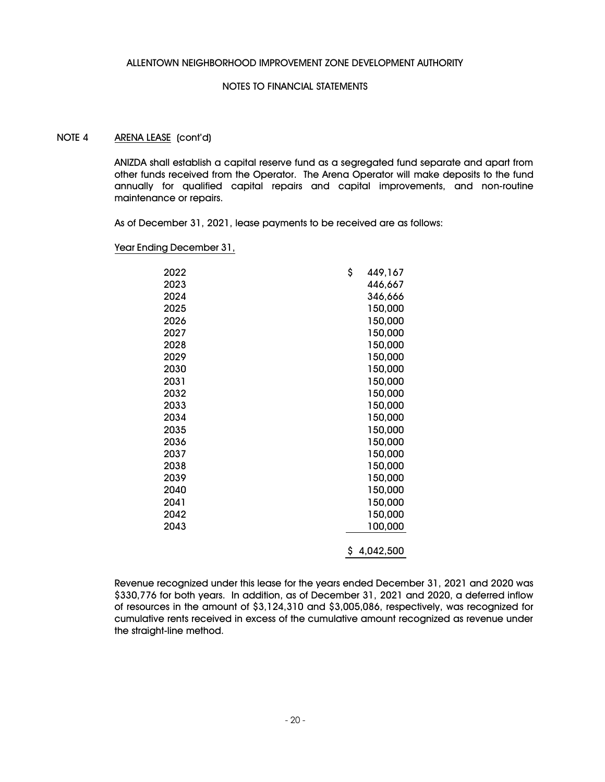## NOTES TO FINANCIAL STATEMENTS

#### NOTE 4 ARENA LEASE (cont'd)

ANIZDA shall establish a capital reserve fund as a segregated fund separate and apart from other funds received from the Operator. The Arena Operator will make deposits to the fund annually for qualified capital repairs and capital improvements, and non-routine maintenance or repairs.

As of December 31, 2021, lease payments to be received are as follows:

#### Year Ending December 31,

| 2022 | \$<br>449,167   |
|------|-----------------|
| 2023 | 446,667         |
| 2024 | 346,666         |
| 2025 | 150,000         |
| 2026 | 150,000         |
| 2027 | 150,000         |
| 2028 | 150,000         |
| 2029 | 150,000         |
| 2030 | 150,000         |
| 2031 | 150,000         |
| 2032 | 150,000         |
| 2033 | 150,000         |
| 2034 | 150,000         |
| 2035 | 150,000         |
| 2036 | 150,000         |
| 2037 | 150,000         |
| 2038 | 150,000         |
| 2039 | 150,000         |
| 2040 | 150,000         |
| 2041 | 150,000         |
| 2042 | 150,000         |
| 2043 | 100,000         |
|      |                 |
|      | \$<br>4,042,500 |

Revenue recognized under this lease for the years ended December 31, 2021 and 2020 was \$330,776 for both years. In addition, as of December 31, 2021 and 2020, a deferred inflow of resources in the amount of \$3,124,310 and \$3,005,086, respectively, was recognized for cumulative rents received in excess of the cumulative amount recognized as revenue under the straight-line method.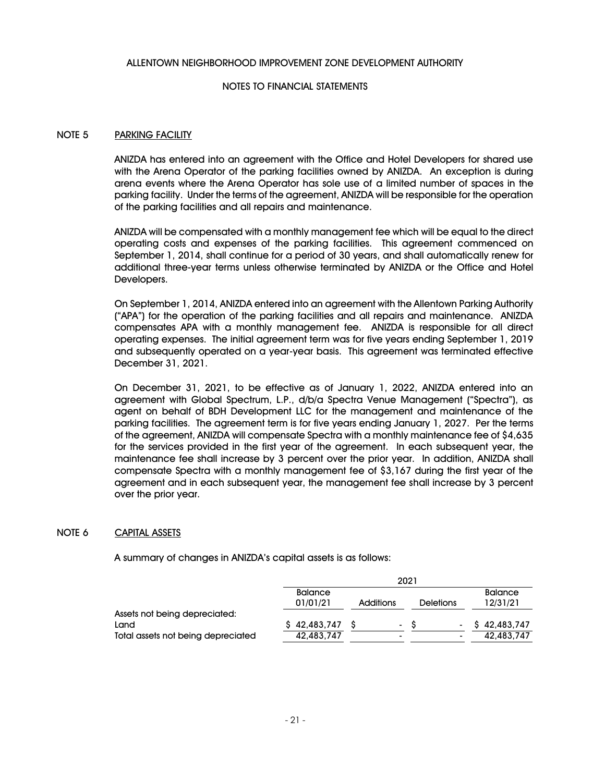## NOTES TO FINANCIAL STATEMENTS

## NOTE 5 PARKING FACILITY

ANIZDA has entered into an agreement with the Office and Hotel Developers for shared use with the Arena Operator of the parking facilities owned by ANIZDA. An exception is during arena events where the Arena Operator has sole use of a limited number of spaces in the parking facility. Under the terms of the agreement, ANIZDA will be responsible for the operation of the parking facilities and all repairs and maintenance.

ANIZDA will be compensated with a monthly management fee which will be equal to the direct operating costs and expenses of the parking facilities. This agreement commenced on September 1, 2014, shall continue for a period of 30 years, and shall automatically renew for additional three-year terms unless otherwise terminated by ANIZDA or the Office and Hotel Developers.

On September 1, 2014, ANIZDA entered into an agreement with the Allentown Parking Authority ("APA") for the operation of the parking facilities and all repairs and maintenance. ANIZDA compensates APA with a monthly management fee. ANIZDA is responsible for all direct operating expenses. The initial agreement term was for five years ending September 1, 2019 and subsequently operated on a year-year basis. This agreement was terminated effective December 31, 2021.

On December 31, 2021, to be effective as of January 1, 2022, ANIZDA entered into an agreement with Global Spectrum, L.P., d/b/a Spectra Venue Management ("Spectra"), as agent on behalf of BDH Development LLC for the management and maintenance of the parking facilities. The agreement term is for five years ending January 1, 2027. Per the terms of the agreement, ANIZDA will compensate Spectra with a monthly maintenance fee of \$4,635 for the services provided in the first year of the agreement. In each subsequent year, the maintenance fee shall increase by 3 percent over the prior year. In addition, ANIZDA shall compensate Spectra with a monthly management fee of \$3,167 during the first year of the agreement and in each subsequent year, the management fee shall increase by 3 percent over the prior year.

## NOTE 6 CAPITAL ASSETS

A summary of changes in ANIZDA's capital assets is as follows:

|                                    | 2021           |                  |                  |                |
|------------------------------------|----------------|------------------|------------------|----------------|
|                                    | <b>Balance</b> |                  |                  | <b>Balance</b> |
|                                    | 01/01/21       | <b>Additions</b> | <b>Deletions</b> | 12/31/21       |
| Assets not being depreciated:      |                |                  |                  |                |
| Land                               | \$42,483,747   |                  | $-S$             | \$42.483.747   |
| Total assets not being depreciated | 42,483,747     |                  |                  | 42.483.747     |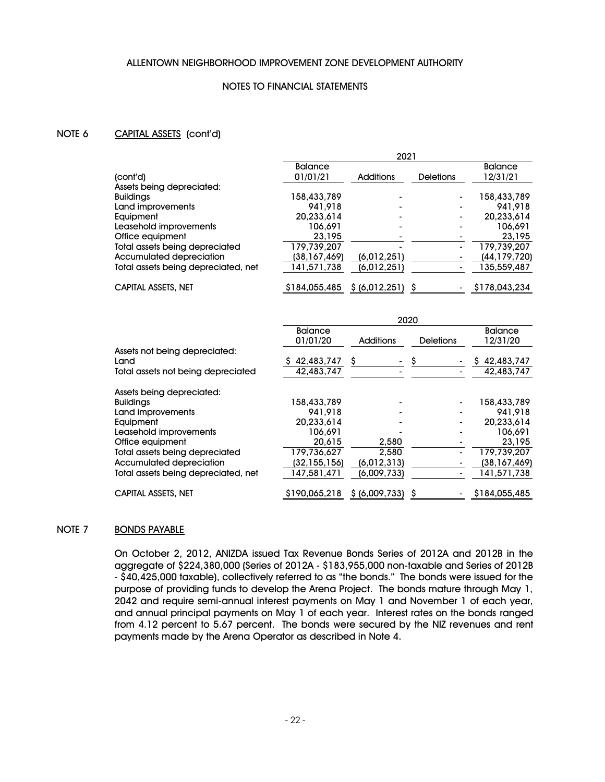#### NOTES TO FINANCIAL STATEMENTS

## NOTE 6 CAPITAL ASSETS (cont'd)

|                                     | 2021           |                |                  |                |
|-------------------------------------|----------------|----------------|------------------|----------------|
|                                     | <b>Balance</b> |                |                  | <b>Balance</b> |
| (cont'd)                            | 01/01/21       | Additions      | <b>Deletions</b> | 12/31/21       |
| Assets being depreciated:           |                |                |                  |                |
| <b>Buildings</b>                    | 158.433.789    |                |                  | 158.433.789    |
| Land improvements                   | 941.918        |                |                  | 941.918        |
| Equipment                           | 20.233.614     |                |                  | 20.233.614     |
| Leasehold improvements              | 106.691        |                |                  | 106.691        |
| Office equipment                    | 23.195         |                |                  | 23.195         |
| Total assets being depreciated      | 179.739.207    |                |                  | 179.739.207    |
| Accumulated depreciation            | (38,167,469)   | (6, 012, 251)  |                  | (44,179,720)   |
| Total assets being depreciated, net | 141,571,738    | (6, 012, 251)  |                  | 135.559.487    |
| <b>CAPITAL ASSETS, NET</b>          | \$184,055,485  | \$ (6,012,251) |                  | \$178,043,234  |

|                                     | 2020           |               |                  |                 |
|-------------------------------------|----------------|---------------|------------------|-----------------|
|                                     | <b>Balance</b> |               |                  | <b>Balance</b>  |
|                                     | 01/01/20       | Additions     | <b>Deletions</b> | 12/31/20        |
| Assets not being depreciated:       |                |               |                  |                 |
| Land                                | 42,483,747     | S             |                  | 42,483,747<br>s |
| Total assets not being depreciated  | 42.483.747     |               |                  | 42.483.747      |
| Assets being depreciated:           |                |               |                  |                 |
| <b>Buildings</b>                    | 158,433,789    |               |                  | 158.433.789     |
| Land improvements                   | 941.918        |               |                  | 941.918         |
| Equipment                           | 20.233.614     |               |                  | 20.233.614      |
| Leasehold improvements              | 106.691        |               |                  | 106.691         |
| Office equipment                    | 20.615         | 2.580         |                  | 23.195          |
| Total assets being depreciated      | 179.736.627    | 2.580         |                  | 179.739.207     |
| Accumulated depreciation            | (32,155,156)   | (6, 012, 313) |                  | (38, 167, 469)  |
| Total assets being depreciated, net | 147,581,471    | (6,009,733)   |                  | 141,571,738     |
| CAPITAL ASSETS, NET                 | \$190,065,218  | \$16,009,733] |                  | \$184,055,485   |

#### NOTE 7 BONDS PAYABLE

On October 2, 2012, ANIZDA issued Tax Revenue Bonds Series of 2012A and 2012B in the aggregate of \$224,380,000 (Series of 2012A - \$183,955,000 non-taxable and Series of 2012B - \$40,425,000 taxable), collectively referred to as "the bonds." The bonds were issued for the purpose of providing funds to develop the Arena Project. The bonds mature through May 1, 2042 and require semi-annual interest payments on May 1 and November 1 of each year, and annual principal payments on May 1 of each year. Interest rates on the bonds ranged from 4.12 percent to 5.67 percent. The bonds were secured by the NIZ revenues and rent payments made by the Arena Operator as described in Note 4.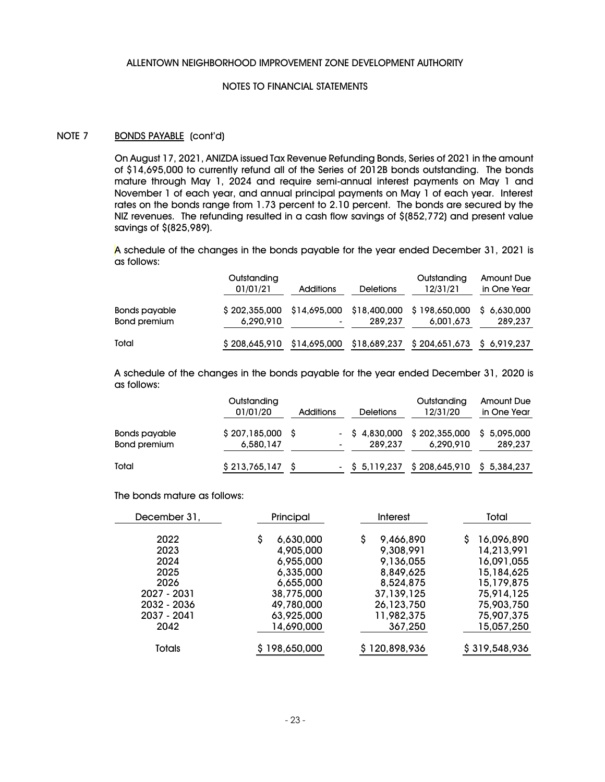## NOTES TO FINANCIAL STATEMENTS

#### NOTE 7 BONDS PAYABLE (cont'd)

On August 17, 2021, ANIZDA issued Tax Revenue Refunding Bonds, Series of 2021 in the amount of \$14,695,000 to currently refund all of the Series of 2012B bonds outstanding. The bonds mature through May 1, 2024 and require semi-annual interest payments on May 1 and November 1 of each year, and annual principal payments on May 1 of each year. Interest rates on the bonds range from 1.73 percent to 2.10 percent. The bonds are secured by the NIZ revenues. The refunding resulted in a cash flow savings of \$(852,772) and present value savings of \$(825,989).

A schedule of the changes in the bonds payable for the year ended December 31, 2021 is as follows:

|                                      | Outstanding<br>01/01/21      | <b>Additions</b>  | <b>Deletions</b>        | Outstanding<br>12/31/21                   | <b>Amount Due</b><br>in One Year |
|--------------------------------------|------------------------------|-------------------|-------------------------|-------------------------------------------|----------------------------------|
| <b>Bonds payable</b><br>Bond premium | \$202,355,000<br>6,290,910   | \$14,695,000<br>۰ | \$18,400,000<br>289.237 | \$198,650,000<br>6.001.673                | \$6.630.000<br>289.237           |
| Total                                | $$208,645,910$ $$14,695,000$ |                   |                         | $$18,689,237$ $$204,651,673$ $$6,919,237$ |                                  |

A schedule of the changes in the bonds payable for the year ended December 31, 2020 is as follows:

|                                             | Outstanding<br>01/01/20        | <b>Additions</b> | <b>Deletions</b>            | Outstanding<br>12/31/20                      | <b>Amount Due</b><br>in One Year |
|---------------------------------------------|--------------------------------|------------------|-----------------------------|----------------------------------------------|----------------------------------|
| <b>Bonds payable</b><br><b>Bond premium</b> | $$207,185,000$ \$<br>6.580.147 | ۰                | $-$ \$ 4.830.000<br>289.237 | \$202,355,000<br>6.290.910                   | \$ 5,095,000<br>289.237          |
| Total                                       | \$213,765,147                  |                  |                             | $-$ \$ 5,119,237 \$ 208,645,910 \$ 5,384,237 |                                  |

The bonds mature as follows:

| December 31. | Principal      | Interest        | Total         |  |
|--------------|----------------|-----------------|---------------|--|
| 2022         | Ş<br>6,630,000 | \$<br>9,466,890 | 16.096.890    |  |
| 2023         | 4,905,000      | 9,308,991       | 14,213,991    |  |
| 2024         | 6.955,000      | 9,136,055       | 16.091.055    |  |
| 2025         | 6,335,000      | 8,849,625       | 15.184.625    |  |
| 2026         | 6,655,000      | 8.524.875       | 15,179,875    |  |
| 2027 - 2031  | 38,775,000     | 37, 139, 125    | 75.914.125    |  |
| 2032 - 2036  | 49.780.000     | 26,123,750      | 75,903,750    |  |
| 2037 - 2041  | 63,925,000     | 11.982.375      | 75,907,375    |  |
| 2042         | 14.690.000     | 367,250         | 15,057,250    |  |
| Totals       | 198,650,000    | 120,898,936     | \$319,548,936 |  |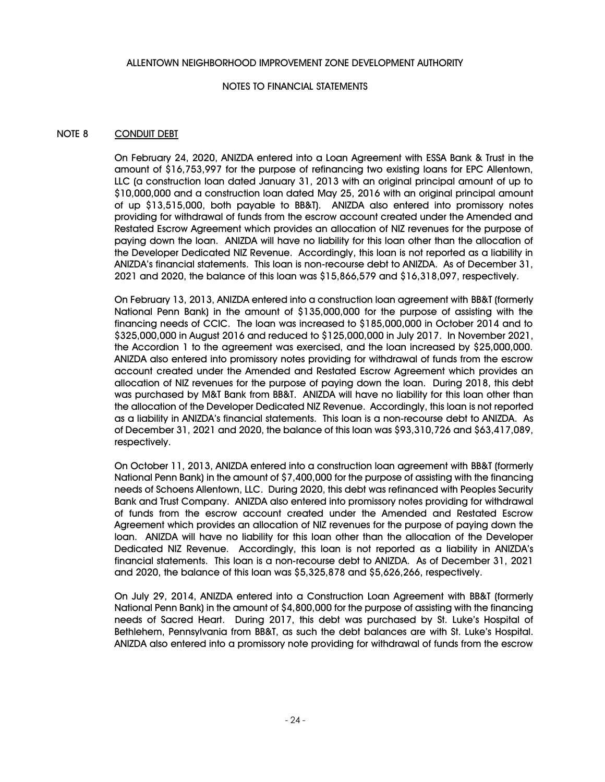#### NOTES TO FINANCIAL STATEMENTS

#### NOTE 8 CONDUIT DEBT

On February 24, 2020, ANIZDA entered into a Loan Agreement with ESSA Bank & Trust in the amount of \$16,753,997 for the purpose of refinancing two existing loans for EPC Allentown, LLC (a construction loan dated January 31, 2013 with an original principal amount of up to \$10,000,000 and a construction loan dated May 25, 2016 with an original principal amount of up \$13,515,000, both payable to BB&T). ANIZDA also entered into promissory notes providing for withdrawal of funds from the escrow account created under the Amended and Restated Escrow Agreement which provides an allocation of NIZ revenues for the purpose of paying down the loan. ANIZDA will have no liability for this loan other than the allocation of the Developer Dedicated NIZ Revenue. Accordingly, this loan is not reported as a liability in ANIZDA's financial statements. This loan is non-recourse debt to ANIZDA. As of December 31, 2021 and 2020, the balance of this loan was \$15,866,579 and \$16,318,097, respectively.

On February 13, 2013, ANIZDA entered into a construction loan agreement with BB&T (formerly National Penn Bank) in the amount of \$135,000,000 for the purpose of assisting with the financing needs of CCIC. The loan was increased to \$185,000,000 in October 2014 and to \$325,000,000 in August 2016 and reduced to \$125,000,000 in July 2017. In November 2021, the Accordion 1 to the agreement was exercised, and the loan increased by \$25,000,000. ANIZDA also entered into promissory notes providing for withdrawal of funds from the escrow account created under the Amended and Restated Escrow Agreement which provides an allocation of NIZ revenues for the purpose of paying down the loan. During 2018, this debt was purchased by M&T Bank from BB&T. ANIZDA will have no liability for this loan other than the allocation of the Developer Dedicated NIZ Revenue. Accordingly, this loan is not reported as a liability in ANIZDA's financial statements. This loan is a non-recourse debt to ANIZDA. As of December 31, 2021 and 2020, the balance of this loan was \$93,310,726 and \$63,417,089, respectively.

On October 11, 2013, ANIZDA entered into a construction loan agreement with BB&T (formerly National Penn Bank) in the amount of \$7,400,000 for the purpose of assisting with the financing needs of Schoens Allentown, LLC. During 2020, this debt was refinanced with Peoples Security Bank and Trust Company. ANIZDA also entered into promissory notes providing for withdrawal of funds from the escrow account created under the Amended and Restated Escrow Agreement which provides an allocation of NIZ revenues for the purpose of paying down the loan. ANIZDA will have no liability for this loan other than the allocation of the Developer Dedicated NIZ Revenue. Accordingly, this loan is not reported as a liability in ANIZDA's financial statements. This loan is a non-recourse debt to ANIZDA. As of December 31, 2021 and 2020, the balance of this loan was \$5,325,878 and \$5,626,266, respectively.

On July 29, 2014, ANIZDA entered into a Construction Loan Agreement with BB&T (formerly National Penn Bank) in the amount of \$4,800,000 for the purpose of assisting with the financing needs of Sacred Heart. During 2017, this debt was purchased by St. Luke's Hospital of Bethlehem, Pennsylvania from BB&T, as such the debt balances are with St. Luke's Hospital. ANIZDA also entered into a promissory note providing for withdrawal of funds from the escrow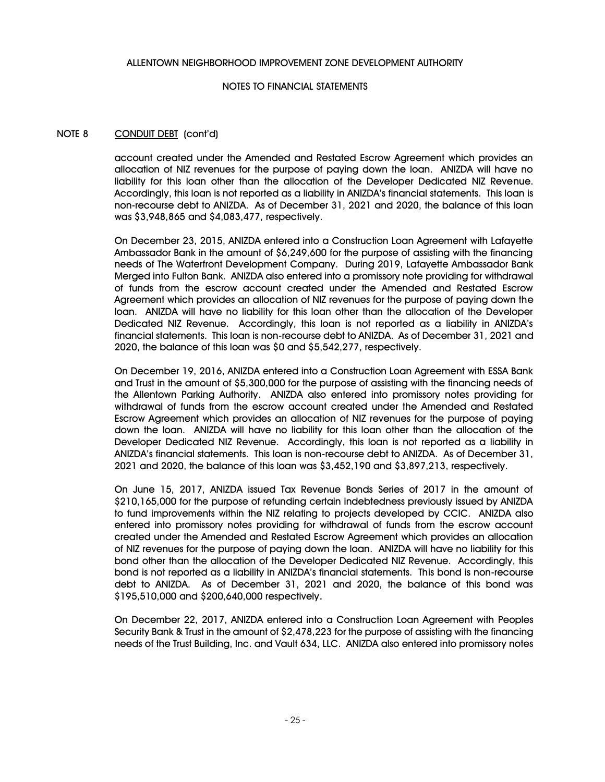## NOTES TO FINANCIAL STATEMENTS

## NOTE 8 CONDUIT DEBT (cont'd)

account created under the Amended and Restated Escrow Agreement which provides an allocation of NIZ revenues for the purpose of paying down the loan. ANIZDA will have no liability for this loan other than the allocation of the Developer Dedicated NIZ Revenue. Accordingly, this loan is not reported as a liability in ANIZDA's financial statements. This loan is non-recourse debt to ANIZDA. As of December 31, 2021 and 2020, the balance of this loan was \$3,948,865 and \$4,083,477, respectively.

On December 23, 2015, ANIZDA entered into a Construction Loan Agreement with Lafayette Ambassador Bank in the amount of \$6,249,600 for the purpose of assisting with the financing needs of The Waterfront Development Company. During 2019, Lafayette Ambassador Bank Merged into Fulton Bank. ANIZDA also entered into a promissory note providing for withdrawal of funds from the escrow account created under the Amended and Restated Escrow Agreement which provides an allocation of NIZ revenues for the purpose of paying down the loan. ANIZDA will have no liability for this loan other than the allocation of the Developer Dedicated NIZ Revenue. Accordingly, this loan is not reported as a liability in ANIZDA's financial statements. This loan is non-recourse debt to ANIZDA. As of December 31, 2021 and 2020, the balance of this loan was \$0 and \$5,542,277, respectively.

On December 19, 2016, ANIZDA entered into a Construction Loan Agreement with ESSA Bank and Trust in the amount of \$5,300,000 for the purpose of assisting with the financing needs of the Allentown Parking Authority. ANIZDA also entered into promissory notes providing for withdrawal of funds from the escrow account created under the Amended and Restated Escrow Agreement which provides an allocation of NIZ revenues for the purpose of paying down the loan. ANIZDA will have no liability for this loan other than the allocation of the Developer Dedicated NIZ Revenue. Accordingly, this loan is not reported as a liability in ANIZDA's financial statements. This loan is non-recourse debt to ANIZDA. As of December 31, 2021 and 2020, the balance of this loan was \$3,452,190 and \$3,897,213, respectively.

On June 15, 2017, ANIZDA issued Tax Revenue Bonds Series of 2017 in the amount of \$210,165,000 for the purpose of refunding certain indebtedness previously issued by ANIZDA to fund improvements within the NIZ relating to projects developed by CCIC. ANIZDA also entered into promissory notes providing for withdrawal of funds from the escrow account created under the Amended and Restated Escrow Agreement which provides an allocation of NIZ revenues for the purpose of paying down the loan. ANIZDA will have no liability for this bond other than the allocation of the Developer Dedicated NIZ Revenue. Accordingly, this bond is not reported as a liability in ANIZDA's financial statements. This bond is non-recourse debt to ANIZDA. As of December 31, 2021 and 2020, the balance of this bond was \$195,510,000 and \$200,640,000 respectively.

On December 22, 2017, ANIZDA entered into a Construction Loan Agreement with Peoples Security Bank & Trust in the amount of \$2,478,223 for the purpose of assisting with the financing needs of the Trust Building, Inc. and Vault 634, LLC. ANIZDA also entered into promissory notes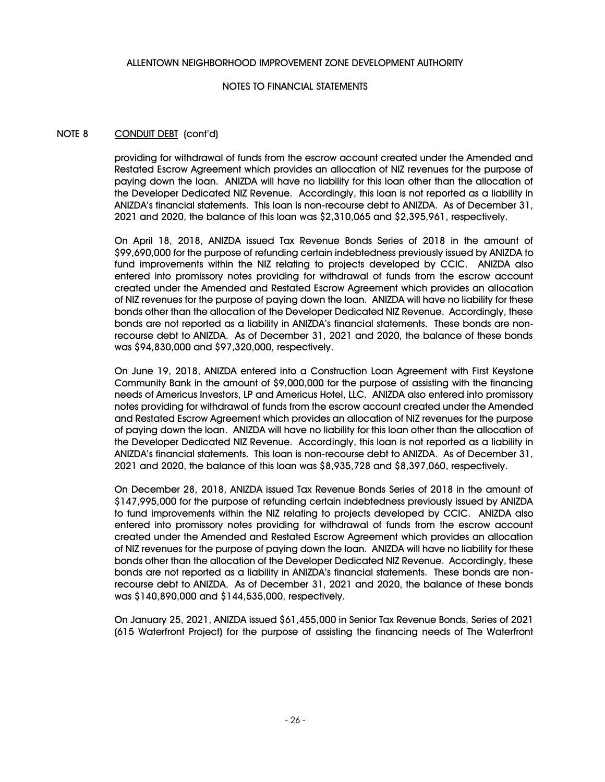## NOTES TO FINANCIAL STATEMENTS

## NOTE 8 CONDUIT DEBT (cont'd)

providing for withdrawal of funds from the escrow account created under the Amended and Restated Escrow Agreement which provides an allocation of NIZ revenues for the purpose of paying down the loan. ANIZDA will have no liability for this loan other than the allocation of the Developer Dedicated NIZ Revenue. Accordingly, this loan is not reported as a liability in ANIZDA's financial statements. This loan is non-recourse debt to ANIZDA. As of December 31, 2021 and 2020, the balance of this loan was \$2,310,065 and \$2,395,961, respectively.

On April 18, 2018, ANIZDA issued Tax Revenue Bonds Series of 2018 in the amount of \$99,690,000 for the purpose of refunding certain indebtedness previously issued by ANIZDA to fund improvements within the NIZ relating to projects developed by CCIC. ANIZDA also entered into promissory notes providing for withdrawal of funds from the escrow account created under the Amended and Restated Escrow Agreement which provides an allocation of NIZ revenues for the purpose of paying down the loan. ANIZDA will have no liability for these bonds other than the allocation of the Developer Dedicated NIZ Revenue. Accordingly, these bonds are not reported as a liability in ANIZDA's financial statements. These bonds are nonrecourse debt to ANIZDA. As of December 31, 2021 and 2020, the balance of these bonds was \$94,830,000 and \$97,320,000, respectively.

On June 19, 2018, ANIZDA entered into a Construction Loan Agreement with First Keystone Community Bank in the amount of \$9,000,000 for the purpose of assisting with the financing needs of Americus Investors, LP and Americus Hotel, LLC. ANIZDA also entered into promissory notes providing for withdrawal of funds from the escrow account created under the Amended and Restated Escrow Agreement which provides an allocation of NIZ revenues for the purpose of paying down the loan. ANIZDA will have no liability for this loan other than the allocation of the Developer Dedicated NIZ Revenue. Accordingly, this loan is not reported as a liability in ANIZDA's financial statements. This loan is non-recourse debt to ANIZDA. As of December 31, 2021 and 2020, the balance of this loan was \$8,935,728 and \$8,397,060, respectively.

On December 28, 2018, ANIZDA issued Tax Revenue Bonds Series of 2018 in the amount of \$147,995,000 for the purpose of refunding certain indebtedness previously issued by ANIZDA to fund improvements within the NIZ relating to projects developed by CCIC. ANIZDA also entered into promissory notes providing for withdrawal of funds from the escrow account created under the Amended and Restated Escrow Agreement which provides an allocation of NIZ revenues for the purpose of paying down the loan. ANIZDA will have no liability for these bonds other than the allocation of the Developer Dedicated NIZ Revenue. Accordingly, these bonds are not reported as a liability in ANIZDA's financial statements. These bonds are nonrecourse debt to ANIZDA. As of December 31, 2021 and 2020, the balance of these bonds was \$140,890,000 and \$144,535,000, respectively.

On January 25, 2021, ANIZDA issued \$61,455,000 in Senior Tax Revenue Bonds, Series of 2021 (615 Waterfront Project) for the purpose of assisting the financing needs of The Waterfront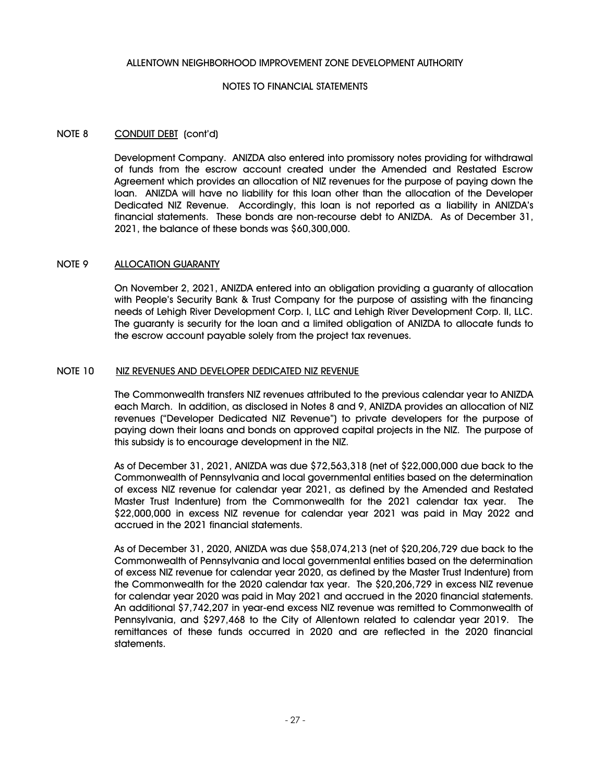## NOTES TO FINANCIAL STATEMENTS

## NOTE 8 CONDUIT DEBT (cont'd)

Development Company. ANIZDA also entered into promissory notes providing for withdrawal of funds from the escrow account created under the Amended and Restated Escrow Agreement which provides an allocation of NIZ revenues for the purpose of paying down the loan. ANIZDA will have no liability for this loan other than the allocation of the Developer Dedicated NIZ Revenue. Accordingly, this loan is not reported as a liability in ANIZDA's financial statements. These bonds are non-recourse debt to ANIZDA. As of December 31, 2021, the balance of these bonds was \$60,300,000.

## NOTE 9 ALLOCATION GUARANTY

On November 2, 2021, ANIZDA entered into an obligation providing a guaranty of allocation with People's Security Bank & Trust Company for the purpose of assisting with the financing needs of Lehigh River Development Corp. I, LLC and Lehigh River Development Corp. II, LLC. The guaranty is security for the loan and a limited obligation of ANIZDA to allocate funds to the escrow account payable solely from the project tax revenues.

## NOTE 10 NIZ REVENUES AND DEVELOPER DEDICATED NIZ REVENUE

The Commonwealth transfers NIZ revenues attributed to the previous calendar year to ANIZDA each March. In addition, as disclosed in Notes 8 and 9, ANIZDA provides an allocation of NIZ revenues ("Developer Dedicated NIZ Revenue") to private developers for the purpose of paying down their loans and bonds on approved capital projects in the NIZ. The purpose of this subsidy is to encourage development in the NIZ.

As of December 31, 2021, ANIZDA was due \$72,563,318 (net of \$22,000,000 due back to the Commonwealth of Pennsylvania and local governmental entities based on the determination of excess NIZ revenue for calendar year 2021, as defined by the Amended and Restated Master Trust Indenture) from the Commonwealth for the 2021 calendar tax year. The \$22,000,000 in excess NIZ revenue for calendar year 2021 was paid in May 2022 and accrued in the 2021 financial statements.

As of December 31, 2020, ANIZDA was due \$58,074,213 (net of \$20,206,729 due back to the Commonwealth of Pennsylvania and local governmental entities based on the determination of excess NIZ revenue for calendar year 2020, as defined by the Master Trust Indenture) from the Commonwealth for the 2020 calendar tax year. The \$20,206,729 in excess NIZ revenue for calendar year 2020 was paid in May 2021 and accrued in the 2020 financial statements. An additional \$7,742,207 in year-end excess NIZ revenue was remitted to Commonwealth of Pennsylvania, and \$297,468 to the City of Allentown related to calendar year 2019. The remittances of these funds occurred in 2020 and are reflected in the 2020 financial statements.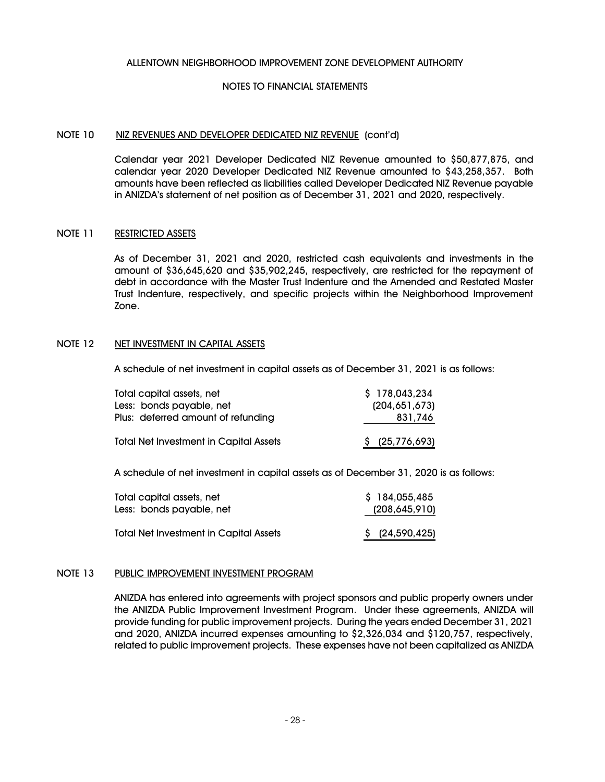## NOTES TO FINANCIAL STATEMENTS

## NOTE 10 NIZ REVENUES AND DEVELOPER DEDICATED NIZ REVENUE (cont'd)

Calendar year 2021 Developer Dedicated NIZ Revenue amounted to \$50,877,875, and calendar year 2020 Developer Dedicated NIZ Revenue amounted to \$43,258,357. Both amounts have been reflected as liabilities called Developer Dedicated NIZ Revenue payable in ANIZDA's statement of net position as of December 31, 2021 and 2020, respectively.

## NOTE 11 RESTRICTED ASSETS

As of December 31, 2021 and 2020, restricted cash equivalents and investments in the amount of \$36,645,620 and \$35,902,245, respectively, are restricted for the repayment of debt in accordance with the Master Trust Indenture and the Amended and Restated Master Trust Indenture, respectively, and specific projects within the Neighborhood Improvement Zone.

## NOTE 12 NET INVESTMENT IN CAPITAL ASSETS

A schedule of net investment in capital assets as of December 31, 2021 is as follows:

| Total capital assets, net                     | \$178,043,234              |
|-----------------------------------------------|----------------------------|
| Less: bonds payable, net                      | (204, 651, 673)            |
| Plus: deferred amount of refunding            | 831.746                    |
|                                               |                            |
| <b>Total Net Investment in Capital Assets</b> | $\frac{1}{2}$ (25,776,693) |

A schedule of net investment in capital assets as of December 31, 2020 is as follows:

| Total capital assets, net                | \$184,055,485              |
|------------------------------------------|----------------------------|
| Less: bonds payable, net                 | (208, 645, 910)            |
| Total Net Investment in Capital Assets I | $\frac{1}{2}$ (24,590,425) |

#### NOTE 13 PUBLIC IMPROVEMENT INVESTMENT PROGRAM

ANIZDA has entered into agreements with project sponsors and public property owners under the ANIZDA Public Improvement Investment Program. Under these agreements, ANIZDA will provide funding for public improvement projects. During the years ended December 31, 2021 and 2020, ANIZDA incurred expenses amounting to \$2,326,034 and \$120,757, respectively, related to public improvement projects. These expenses have not been capitalized as ANIZDA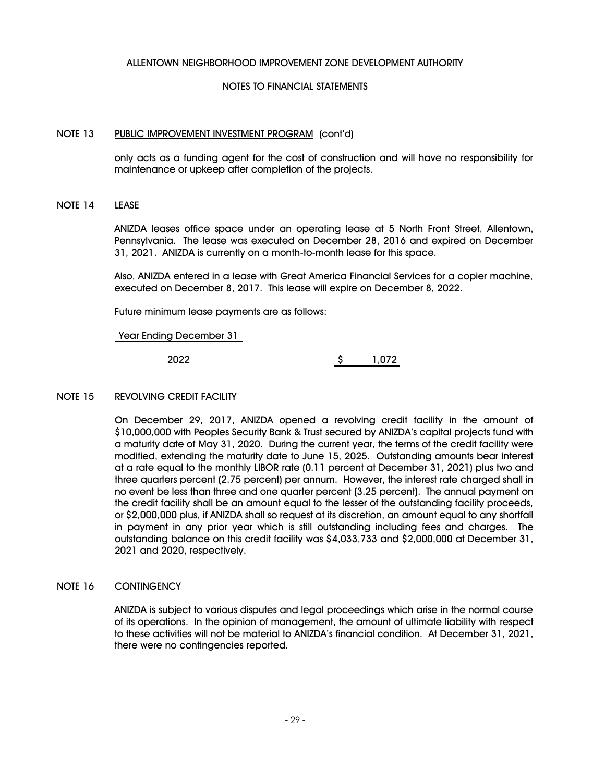## NOTES TO FINANCIAL STATEMENTS

#### NOTE 13 PUBLIC IMPROVEMENT INVESTMENT PROGRAM (cont'd)

only acts as a funding agent for the cost of construction and will have no responsibility for maintenance or upkeep after completion of the projects.

#### NOTE 14 LEASE

ANIZDA leases office space under an operating lease at 5 North Front Street, Allentown, Pennsylvania. The lease was executed on December 28, 2016 and expired on December 31, 2021. ANIZDA is currently on a month-to-month lease for this space.

Also, ANIZDA entered in a lease with Great America Financial Services for a copier machine, executed on December 8, 2017. This lease will expire on December 8, 2022.

Future minimum lease payments are as follows:

Year Ending December 31

2022 \$ 1,072

## NOTE 15 REVOLVING CREDIT FACILITY

On December 29, 2017, ANIZDA opened a revolving credit facility in the amount of \$10,000,000 with Peoples Security Bank & Trust secured by ANIZDA's capital projects fund with a maturity date of May 31, 2020. During the current year, the terms of the credit facility were modified, extending the maturity date to June 15, 2025. Outstanding amounts bear interest at a rate equal to the monthly LIBOR rate (0.11 percent at December 31, 2021) plus two and three quarters percent (2.75 percent) per annum. However, the interest rate charged shall in no event be less than three and one quarter percent (3.25 percent). The annual payment on the credit facility shall be an amount equal to the lesser of the outstanding facility proceeds, or \$2,000,000 plus, if ANIZDA shall so request at its discretion, an amount equal to any shortfall in payment in any prior year which is still outstanding including fees and charges. The outstanding balance on this credit facility was \$4,033,733 and \$2,000,000 at December 31, 2021 and 2020, respectively.

## NOTE 16 CONTINGENCY

ANIZDA is subject to various disputes and legal proceedings which arise in the normal course of its operations. In the opinion of management, the amount of ultimate liability with respect to these activities will not be material to ANIZDA's financial condition. At December 31, 2021, there were no contingencies reported.